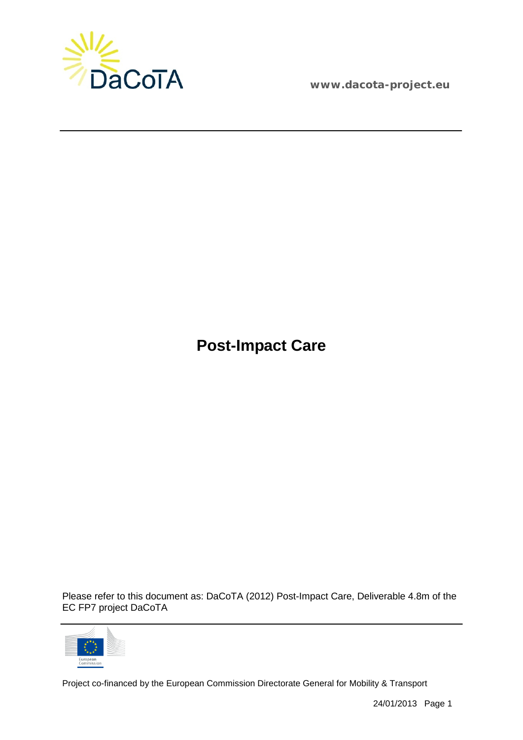

**[www.dacota-project.eu](http://www.dacota-project.eu/)**

<span id="page-0-0"></span>**Post-Impact Care**

Please refer to this document as: DaCoTA (2012) Post-Impact Care, Deliverable 4.8m of the EC FP7 project DaCoTA

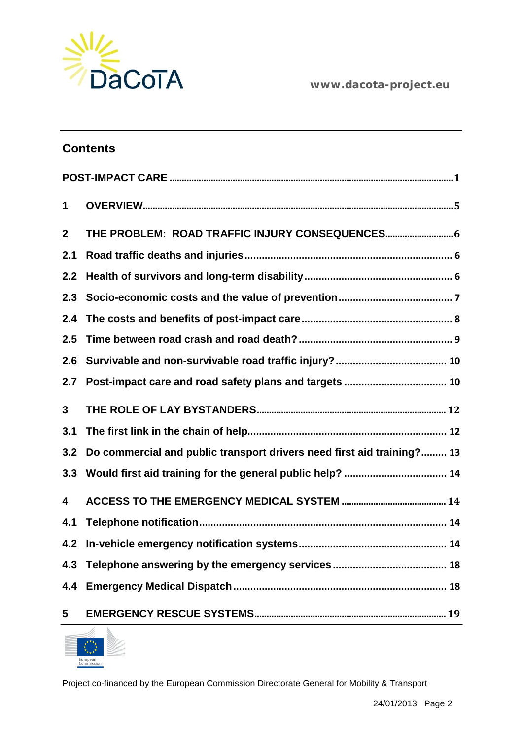

|              | <b>Contents</b>                                                        |
|--------------|------------------------------------------------------------------------|
|              |                                                                        |
| 1            |                                                                        |
| $\mathbf{2}$ | THE PROBLEM: ROAD TRAFFIC INJURY CONSEQUENCES 6                        |
| 2.1          |                                                                        |
| 2.2          |                                                                        |
| 2.3          |                                                                        |
| 2.4          |                                                                        |
| 2.5          |                                                                        |
| 2.6          |                                                                        |
| 2.7          |                                                                        |
| 3            |                                                                        |
| 3.1          |                                                                        |
| 3.2          | Do commercial and public transport drivers need first aid training? 13 |
| 3.3          |                                                                        |
| 4            |                                                                        |
| 4.1          |                                                                        |
| 4.2          |                                                                        |
| 4.3          |                                                                        |
| 4.4          |                                                                        |
| 5            |                                                                        |

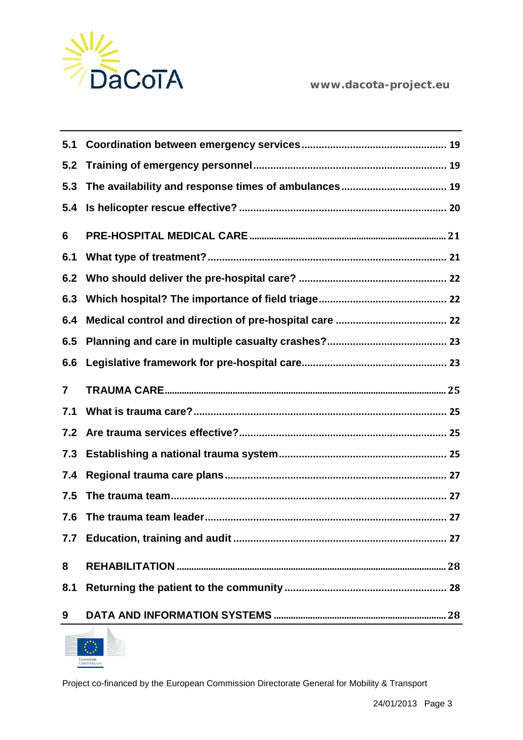

| 5.1            |  |
|----------------|--|
| 5.2            |  |
| 5.3            |  |
| 5.4            |  |
| 6              |  |
| 6.1            |  |
| 6.2            |  |
| 6.3            |  |
| 6.4            |  |
| 6.5            |  |
| 6.6            |  |
| $\overline{7}$ |  |
| 7.1            |  |
| 7.2            |  |
| 7.3            |  |
| 7.4            |  |
| 7.5            |  |
| 7.6            |  |
|                |  |
| 8              |  |
| 8.1            |  |
| 9              |  |

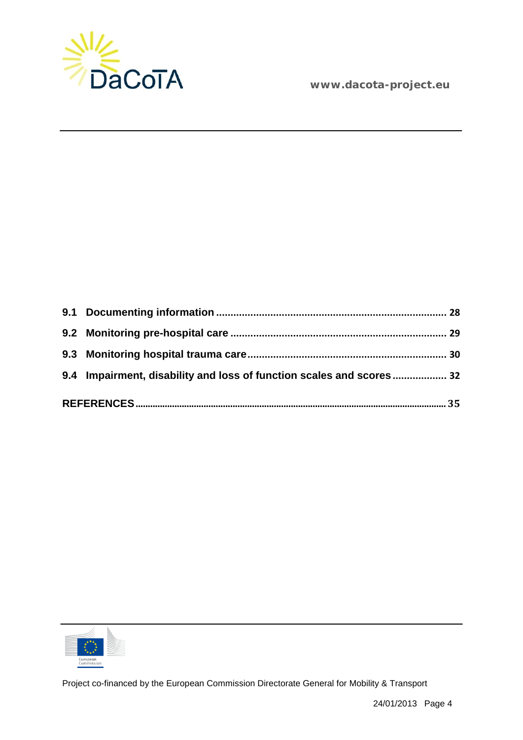

**[www.dacota-project.eu](http://www.dacota-project.eu/)**

| 9.4 Impairment, disability and loss of function scales and scores  32 |  |
|-----------------------------------------------------------------------|--|
|                                                                       |  |

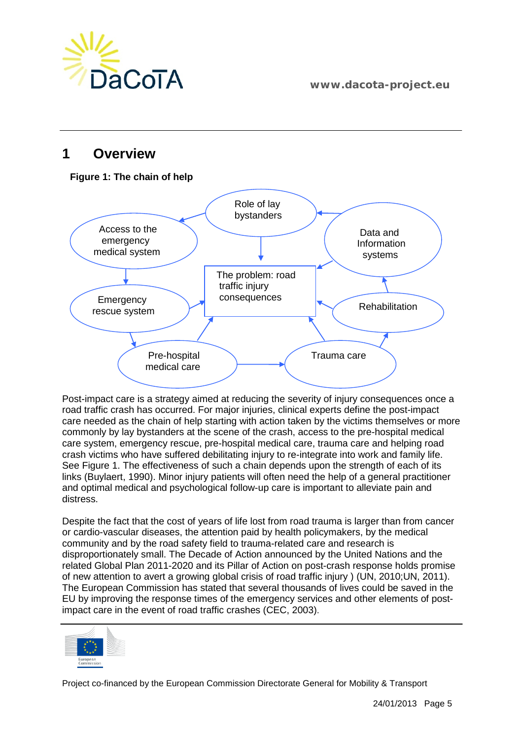

**[www.dacota-project.eu](http://www.dacota-project.eu/)**

## <span id="page-4-0"></span>**1 Overview**

#### **Figure 1: The chain of help**



Post-impact care is a strategy aimed at reducing the severity of injury consequences once a road traffic crash has occurred. For major injuries, clinical experts define the post-impact care needed as the chain of help starting with action taken by the victims themselves or more commonly by lay bystanders at the scene of the crash, access to the pre-hospital medical care system, emergency rescue, pre-hospital medical care, trauma care and helping road crash victims who have suffered debilitating injury to re-integrate into work and family life. See Figure 1. The effectiveness of such a chain depends upon the strength of each of its links (Buylaert, 1990). Minor injury patients will often need the help of a general practitioner and optimal medical and psychological follow-up care is important to alleviate pain and distress.

Despite the fact that the cost of years of life lost from road trauma is larger than from cancer or cardio-vascular diseases, the attention paid by health policymakers, by the medical community and by the road safety field to trauma-related care and research is disproportionately small. The Decade of Action announced by the United Nations and the related Global Plan 2011-2020 and its Pillar of Action on post-crash response holds promise of new attention to avert a growing global crisis of road traffic injury ) (UN, 2010;UN, 2011). The European Commission has stated that several thousands of lives could be saved in the EU by improving the response times of the emergency services and other elements of postimpact care in the event of road traffic crashes (CEC, 2003).

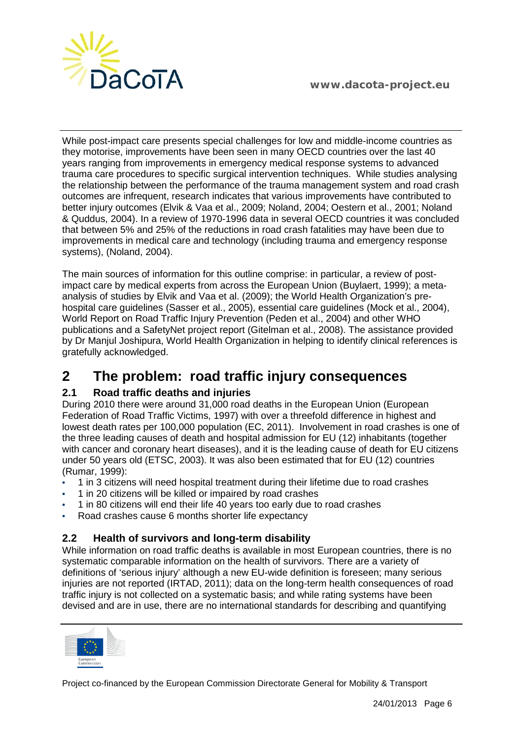

While post-impact care presents special challenges for low and middle-income countries as they motorise, improvements have been seen in many OECD countries over the last 40 years ranging from improvements in emergency medical response systems to advanced trauma care procedures to specific surgical intervention techniques. While studies analysing the relationship between the performance of the trauma management system and road crash outcomes are infrequent, research indicates that various improvements have contributed to better injury outcomes (Elvik & Vaa et al., 2009; Noland, 2004; Oestern et al., 2001; Noland & Quddus, 2004). In a review of 1970-1996 data in several OECD countries it was concluded that between 5% and 25% of the reductions in road crash fatalities may have been due to improvements in medical care and technology (including trauma and emergency response systems), (Noland, 2004).

The main sources of information for this outline comprise: in particular, a review of postimpact care by medical experts from across the European Union (Buylaert, 1999); a metaanalysis of studies by Elvik and Vaa et al. (2009); the World Health Organization's prehospital care guidelines (Sasser et al., 2005), essential care guidelines (Mock et al., 2004), World Report on Road Traffic Injury Prevention (Peden et al., 2004) and other WHO publications and a SafetyNet project report (Gitelman et al., 2008). The assistance provided by Dr Manjul Joshipura, World Health Organization in helping to identify clinical references is gratefully acknowledged.

## <span id="page-5-0"></span>**2 The problem: road traffic injury consequences**

## <span id="page-5-1"></span>**2.1 Road traffic deaths and injuries**

During 2010 there were around 31,000 road deaths in the European Union (European Federation of Road Traffic Victims, 1997) with over a threefold difference in highest and lowest death rates per 100,000 population (EC, 2011). Involvement in road crashes is one of the three leading causes of death and hospital admission for EU (12) inhabitants (together with cancer and coronary heart diseases), and it is the leading cause of death for EU citizens under 50 years old (ETSC, 2003). It was also been estimated that for EU (12) countries (Rumar, 1999):

- 1 in 3 citizens will need hospital treatment during their lifetime due to road crashes
- 1 in 20 citizens will be killed or impaired by road crashes
- 1 in 80 citizens will end their life 40 years too early due to road crashes
- Road crashes cause 6 months shorter life expectancy

## <span id="page-5-2"></span>**2.2 Health of survivors and long-term disability**

While information on road traffic deaths is available in most European countries, there is no systematic comparable information on the health of survivors. There are a variety of definitions of 'serious injury' although a new EU-wide definition is foreseen; many serious injuries are not reported (IRTAD, 2011); data on the long-term health consequences of road traffic injury is not collected on a systematic basis; and while rating systems have been devised and are in use, there are no international standards for describing and quantifying

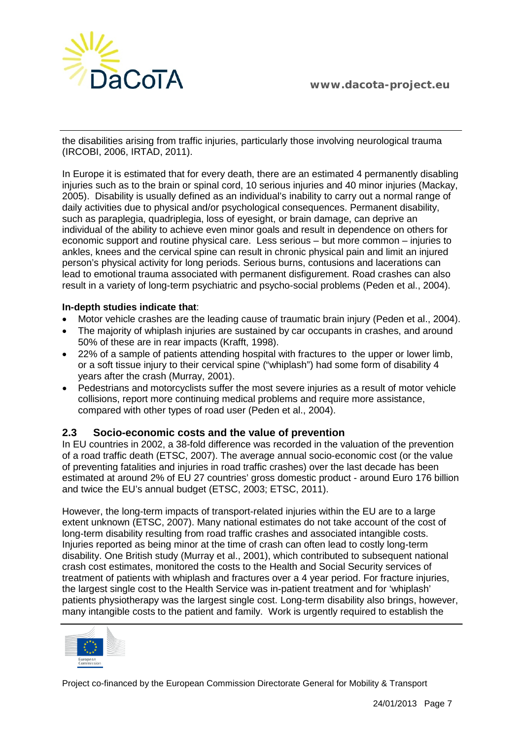

the disabilities arising from traffic injuries, particularly those involving neurological trauma (IRCOBI, 2006, IRTAD, 2011).

In Europe it is estimated that for every death, there are an estimated 4 permanently disabling injuries such as to the brain or spinal cord, 10 serious injuries and 40 minor injuries (Mackay, 2005). Disability is usually defined as an individual's inability to carry out a normal range of daily activities due to physical and/or psychological consequences. Permanent disability, such as paraplegia, quadriplegia, loss of eyesight, or brain damage, can deprive an individual of the ability to achieve even minor goals and result in dependence on others for economic support and routine physical care. Less serious – but more common – injuries to ankles, knees and the cervical spine can result in chronic physical pain and limit an injured person's physical activity for long periods. Serious burns, contusions and lacerations can lead to emotional trauma associated with permanent disfigurement. Road crashes can also result in a variety of long-term psychiatric and psycho-social problems (Peden et al., 2004).

#### **In-depth studies indicate that**:

- Motor vehicle crashes are the leading cause of traumatic brain injury (Peden et al., 2004).
- The majority of whiplash injuries are sustained by car occupants in crashes, and around 50% of these are in rear impacts (Krafft, 1998).
- 22% of a sample of patients attending hospital with fractures to the upper or lower limb, or a soft tissue injury to their cervical spine ("whiplash") had some form of disability 4 years after the crash (Murray, 2001).
- Pedestrians and motorcyclists suffer the most severe injuries as a result of motor vehicle collisions, report more continuing medical problems and require more assistance, compared with other types of road user (Peden et al., 2004).

### <span id="page-6-0"></span>**2.3 Socio-economic costs and the value of prevention**

In EU countries in 2002, a 38-fold difference was recorded in the valuation of the prevention of a road traffic death (ETSC, 2007). The average annual socio-economic cost (or the value of preventing fatalities and injuries in road traffic crashes) over the last decade has been estimated at around 2% of EU 27 countries' gross domestic product - around Euro 176 billion and twice the EU's annual budget (ETSC, 2003; ETSC, 2011).

However, the long-term impacts of transport-related injuries within the EU are to a large extent unknown (ETSC, 2007). Many national estimates do not take account of the cost of long-term disability resulting from road traffic crashes and associated intangible costs. Injuries reported as being minor at the time of crash can often lead to costly long-term disability. One British study (Murray et al., 2001), which contributed to subsequent national crash cost estimates, monitored the costs to the Health and Social Security services of treatment of patients with whiplash and fractures over a 4 year period. For fracture injuries, the largest single cost to the Health Service was in-patient treatment and for 'whiplash' patients physiotherapy was the largest single cost. Long-term disability also brings, however, many intangible costs to the patient and family. Work is urgently required to establish the

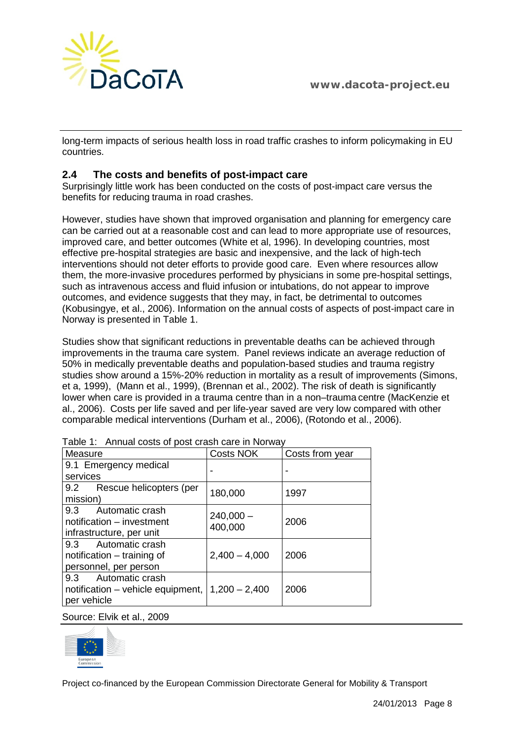

long-term impacts of serious health loss in road traffic crashes to inform policymaking in EU countries.

## <span id="page-7-0"></span>**2.4 The costs and benefits of post-impact care**

Surprisingly little work has been conducted on the costs of post-impact care versus the benefits for reducing trauma in road crashes.

However, studies have shown that improved organisation and planning for emergency care can be carried out at a reasonable cost and can lead to more appropriate use of resources, improved care, and better outcomes (White et al, 1996). In developing countries, most effective pre-hospital strategies are basic and inexpensive, and the lack of high-tech interventions should not deter efforts to provide good care. Even where resources allow them, the more-invasive procedures performed by physicians in some pre-hospital settings, such as intravenous access and fluid infusion or intubations, do not appear to improve outcomes, and evidence suggests that they may, in fact, be detrimental to outcomes (Kobusingye, et al., 2006). Information on the annual costs of aspects of post-impact care in Norway is presented in Table 1.

Studies show that significant reductions in preventable deaths can be achieved through improvements in the trauma care system. Panel reviews indicate an average reduction of 50% in medically preventable deaths and population-based studies and trauma registry studies show around a 15%-20% reduction in mortality as a result of improvements (Simons, et a, 1999), (Mann et al., 1999), (Brennan et al., 2002). The risk of death is significantly lower when care is provided in a trauma centre than in a non–trauma centre (MacKenzie et al., 2006). Costs per life saved and per life-year saved are very low compared with other comparable medical interventions (Durham et al., 2006), (Rotondo et al., 2006).

| Measure                                                                         | <b>Costs NOK</b>       | Costs from year |
|---------------------------------------------------------------------------------|------------------------|-----------------|
| 9.1 Emergency medical<br>services                                               |                        |                 |
| 9.2<br>Rescue helicopters (per                                                  |                        |                 |
| mission)                                                                        | 180,000                | 1997            |
| 9.3<br>Automatic crash<br>notification - investment<br>infrastructure, per unit | $240,000 -$<br>400,000 | 2006            |
| 9.3 Automatic crash<br>notification – training of<br>personnel, per person      | $2,400 - 4,000$        | 2006            |
| 9.3 Automatic crash<br>notification – vehicle equipment,  <br>per vehicle       | $1,200 - 2,400$        | 2006            |

|  |  | Table 1: Annual costs of post crash care in Norway |
|--|--|----------------------------------------------------|
|--|--|----------------------------------------------------|

Source: Elvik et al., 2009

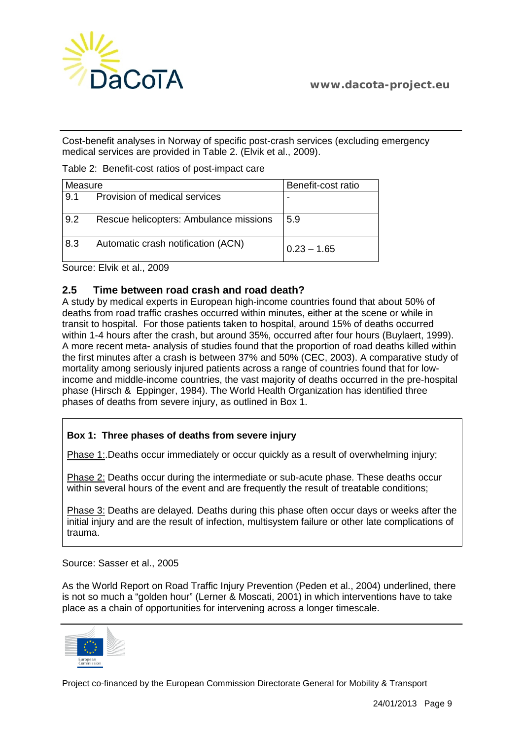

Cost-benefit analyses in Norway of specific post-crash services (excluding emergency medical services are provided in Table 2. (Elvik et al., 2009).

| Measure |                                        | Benefit-cost ratio |
|---------|----------------------------------------|--------------------|
| 9.1     | Provision of medical services          |                    |
| 9.2     | Rescue helicopters: Ambulance missions | 5.9                |
| 8.3     | Automatic crash notification (ACN)     | $0.23 - 1.65$      |

Table 2: Benefit-cost ratios of post-impact care

Source: Elvik et al., 2009

#### <span id="page-8-0"></span>**2.5 Time between road crash and road death?**

A study by medical experts in European high-income countries found that about 50% of deaths from road traffic crashes occurred within minutes, either at the scene or while in transit to hospital. For those patients taken to hospital, around 15% of deaths occurred within 1-4 hours after the crash, but around 35%, occurred after four hours (Buylaert, 1999). A more recent meta- analysis of studies found that the proportion of road deaths killed within the first minutes after a crash is between 37% and 50% (CEC, 2003). A comparative study of mortality among seriously injured patients across a range of countries found that for lowincome and middle-income countries, the vast majority of deaths occurred in the pre-hospital phase (Hirsch & Eppinger, 1984). The World Health Organization has identified three phases of deaths from severe injury, as outlined in Box 1.

#### **Box 1: Three phases of deaths from severe injury**

Phase 1:.Deaths occur immediately or occur quickly as a result of overwhelming injury;

Phase 2: Deaths occur during the intermediate or sub-acute phase. These deaths occur within several hours of the event and are frequently the result of treatable conditions;

Phase 3: Deaths are delayed. Deaths during this phase often occur days or weeks after the initial injury and are the result of infection, multisystem failure or other late complications of trauma.

Source: Sasser et al., 2005

As the World Report on Road Traffic Injury Prevention (Peden et al., 2004) underlined, there is not so much a "golden hour" (Lerner & Moscati, 2001) in which interventions have to take place as a chain of opportunities for intervening across a longer timescale.

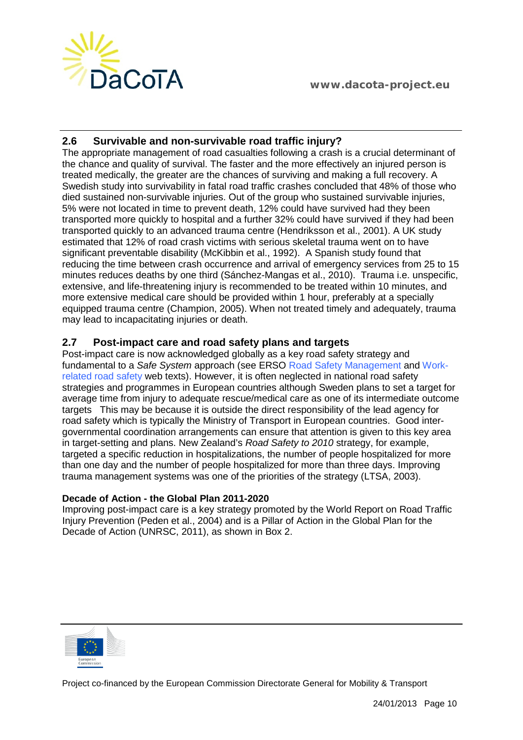



## <span id="page-9-0"></span>**2.6 Survivable and non-survivable road traffic injury?**

The appropriate management of road casualties following a crash is a crucial determinant of the chance and quality of survival. The faster and the more effectively an injured person is treated medically, the greater are the chances of surviving and making a full recovery. A Swedish study into survivability in fatal road traffic crashes concluded that 48% of those who died sustained non-survivable injuries. Out of the group who sustained survivable injuries, 5% were not located in time to prevent death, 12% could have survived had they been transported more quickly to hospital and a further 32% could have survived if they had been transported quickly to an advanced trauma centre (Hendriksson et al., 2001). A UK study estimated that 12% of road crash victims with serious skeletal trauma went on to have significant preventable disability (McKibbin et al., 1992). A Spanish study found that reducing the time between crash occurrence and arrival of emergency services from 25 to 15 minutes reduces deaths by one third (Sánchez-Mangas et al., 2010). Trauma i.e. unspecific, extensive, and life-threatening injury is recommended to be treated within 10 minutes, and more extensive medical care should be provided within 1 hour, preferably at a specially equipped trauma centre (Champion, 2005). When not treated timely and adequately, trauma may lead to incapacitating injuries or death.

## <span id="page-9-1"></span>**2.7 Post-impact care and road safety plans and targets**

Post-impact care is now acknowledged globally as a key road safety strategy and fundamental to a *Safe System* approach (see ERSO [Road Safety Management](http://ec.europa.eu/transport/road_safety/specialist/knowledge/rsm/overview/index.htm) and [Work](http://ec.europa.eu/transport/road_safety/specialist/knowledge/work/index.htm)[related road safety](http://ec.europa.eu/transport/road_safety/specialist/knowledge/work/index.htm) web texts). However, it is often neglected in national road safety strategies and programmes in European countries although Sweden plans to set a target for average time from injury to adequate rescue/medical care as one of its intermediate outcome targets This may be because it is outside the direct responsibility of the lead agency for road safety which is typically the Ministry of Transport in European countries. Good intergovernmental coordination arrangements can ensure that attention is given to this key area in target-setting and plans. New Zealand's *Road Safety to 2010* strategy, for example, targeted a specific reduction in hospitalizations, the number of people hospitalized for more than one day and the number of people hospitalized for more than three days. Improving trauma management systems was one of the priorities of the strategy (LTSA, 2003).

### **Decade of Action - the Global Plan 2011-2020**

Improving post-impact care is a key strategy promoted by the World Report on Road Traffic Injury Prevention (Peden et al., 2004) and is a Pillar of Action in the Global Plan for the Decade of Action (UNRSC, 2011), as shown in Box 2.

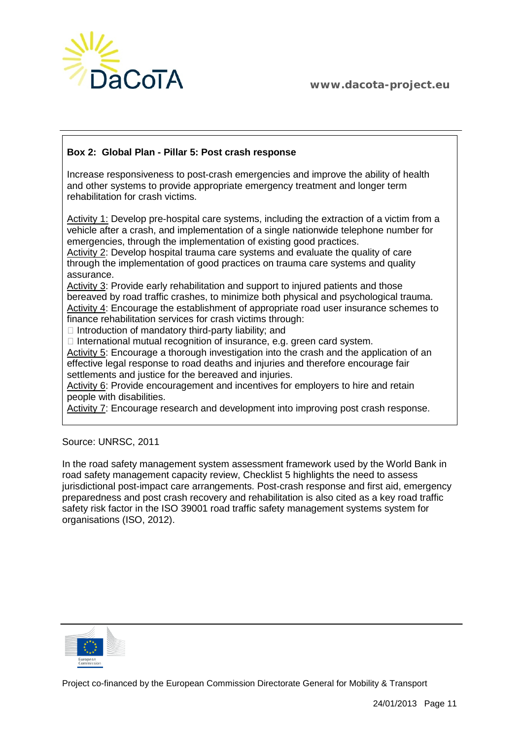

#### **Box 2: Global Plan - Pillar 5: Post crash response**

Increase responsiveness to post-crash emergencies and improve the ability of health and other systems to provide appropriate emergency treatment and longer term rehabilitation for crash victims.

Activity 1: Develop pre-hospital care systems, including the extraction of a victim from a vehicle after a crash, and implementation of a single nationwide telephone number for emergencies, through the implementation of existing good practices.

Activity 2: Develop hospital trauma care systems and evaluate the quality of care through the implementation of good practices on trauma care systems and quality assurance.

Activity 3: Provide early rehabilitation and support to injured patients and those bereaved by road traffic crashes, to minimize both physical and psychological trauma. Activity 4: Encourage the establishment of appropriate road user insurance schemes to finance rehabilitation services for crash victims through:

 $\Box$  Introduction of mandatory third-party liability; and

 $\Box$  International mutual recognition of insurance, e.g. green card system.

Activity 5: Encourage a thorough investigation into the crash and the application of an effective legal response to road deaths and injuries and therefore encourage fair settlements and justice for the bereaved and injuries.

Activity 6: Provide encouragement and incentives for employers to hire and retain people with disabilities.

Activity 7: Encourage research and development into improving post crash response.

Source: UNRSC, 2011

In the road safety management system assessment framework used by the World Bank in road safety management capacity review, Checklist 5 highlights the need to assess jurisdictional post-impact care arrangements. Post-crash response and first aid, emergency preparedness and post crash recovery and rehabilitation is also cited as a key road traffic safety risk factor in the ISO 39001 road traffic safety management systems system for organisations (ISO, 2012).

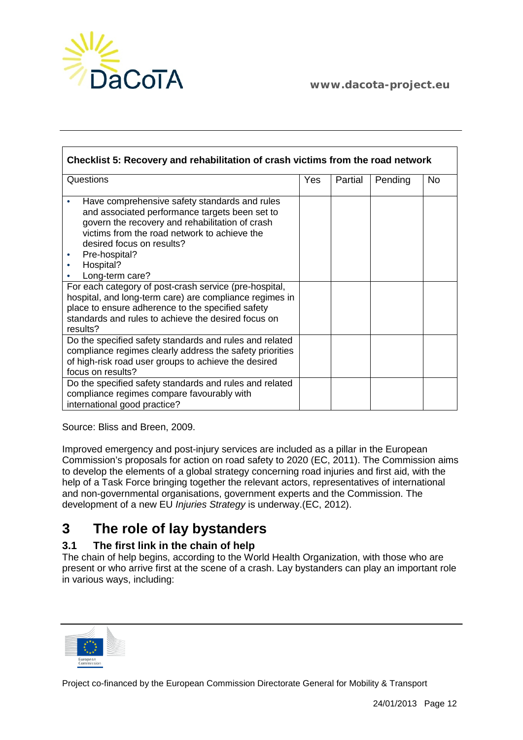

| Checklist 5: Recovery and rehabilitation of crash victims from the road network                                                                                                                                                                                                                                                                                                                                                                                                                                               |     |         |         |     |  |
|-------------------------------------------------------------------------------------------------------------------------------------------------------------------------------------------------------------------------------------------------------------------------------------------------------------------------------------------------------------------------------------------------------------------------------------------------------------------------------------------------------------------------------|-----|---------|---------|-----|--|
| Questions                                                                                                                                                                                                                                                                                                                                                                                                                                                                                                                     | Yes | Partial | Pending | No. |  |
| Have comprehensive safety standards and rules<br>and associated performance targets been set to<br>govern the recovery and rehabilitation of crash<br>victims from the road network to achieve the<br>desired focus on results?<br>Pre-hospital?<br>Hospital?<br>Long-term care?<br>For each category of post-crash service (pre-hospital,<br>hospital, and long-term care) are compliance regimes in<br>place to ensure adherence to the specified safety<br>standards and rules to achieve the desired focus on<br>results? |     |         |         |     |  |
| Do the specified safety standards and rules and related<br>compliance regimes clearly address the safety priorities<br>of high-risk road user groups to achieve the desired<br>focus on results?                                                                                                                                                                                                                                                                                                                              |     |         |         |     |  |
| Do the specified safety standards and rules and related<br>compliance regimes compare favourably with<br>international good practice?                                                                                                                                                                                                                                                                                                                                                                                         |     |         |         |     |  |

Source: Bliss and Breen, 2009.

Improved emergency and post-injury services are included as a pillar in the European Commission's proposals for action on road safety to 2020 (EC, 2011). The Commission aims to develop the elements of a global strategy concerning road injuries and first aid, with the help of a Task Force bringing together the relevant actors, representatives of international and non-governmental organisations, government experts and the Commission. The development of a new EU *Injuries Strategy* is underway.(EC, 2012).

# <span id="page-11-0"></span>**3 The role of lay bystanders**

## <span id="page-11-1"></span>**3.1 The first link in the chain of help**

The chain of help begins, according to the World Health Organization, with those who are present or who arrive first at the scene of a crash. Lay bystanders can play an important role in various ways, including:

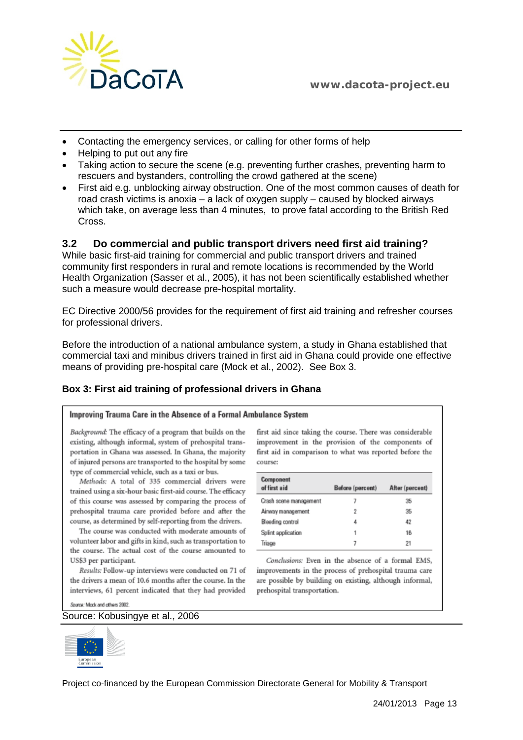

- Contacting the emergency services, or calling for other forms of help
- Helping to put out any fire
- Taking action to secure the scene (e.g. preventing further crashes, preventing harm to rescuers and bystanders, controlling the crowd gathered at the scene)
- First aid e.g. unblocking airway obstruction. One of the most common causes of death for road crash victims is anoxia – a lack of oxygen supply – caused by blocked airways which take, on average less than 4 minutes, to prove fatal according to the [British Red](http://www.grsproadsafety.org/themes/default/pdfs/British%20Red%20Cross.pdf)  [Cross.](http://www.grsproadsafety.org/themes/default/pdfs/British%20Red%20Cross.pdf)

#### <span id="page-12-0"></span>**3.2 Do commercial and public transport drivers need first aid training?**

While basic first-aid training for commercial and public transport drivers and trained community first responders in rural and remote locations is recommended by the World Health Organization (Sasser et al., 2005), it has not been scientifically established whether such a measure would decrease pre-hospital mortality.

EC Directive 2000/56 provides for the requirement of first aid training and refresher courses for professional drivers.

Before the introduction of a national ambulance system, a study in Ghana established that commercial taxi and minibus drivers trained in first aid in Ghana could provide one effective means of providing pre-hospital care (Mock et al., 2002). See Box 3.

### **Box 3: First aid training of professional drivers in Ghana**

#### Improving Trauma Care in the Absence of a Formal Ambulance System

Background: The efficacy of a program that builds on the existing, although informal, system of prehospital transportation in Ghana was assessed. In Ghana, the majority of injured persons are transported to the hospital by some type of commercial vehicle, such as a taxi or bus.

Methods: A total of 335 commercial drivers were trained using a six-hour basic first-aid course. The efficacy of this course was assessed by comparing the process of prehospital trauma care provided before and after the course, as determined by self-reporting from the drivers.

The course was conducted with moderate amounts of volunteer labor and gifts in kind, such as transportation to the course. The actual cost of the course amounted to US\$3 per participant.

Results: Follow-up interviews were conducted on 71 of the drivers a mean of 10.6 months after the course. In the interviews, 61 percent indicated that they had provided

first aid since taking the course. There was considerable improvement in the provision of the components of first aid in comparison to what was reported before the course:

| Component<br>of first aid | <b>Before (percent)</b> | After (percent) |
|---------------------------|-------------------------|-----------------|
| Crash scene management    |                         | 35              |
| Airway management         |                         | 35              |
| Bleeding control          |                         | 42              |
| Splint application        |                         | 16              |
| Triage                    |                         | 21              |

Conclusions: Even in the absence of a formal EMS, improvements in the process of prehospital trauma care are possible by building on existing, although informal, prehospital transportation.

Source: Mock and others 2002. Source: Kobusingye et al., 2006

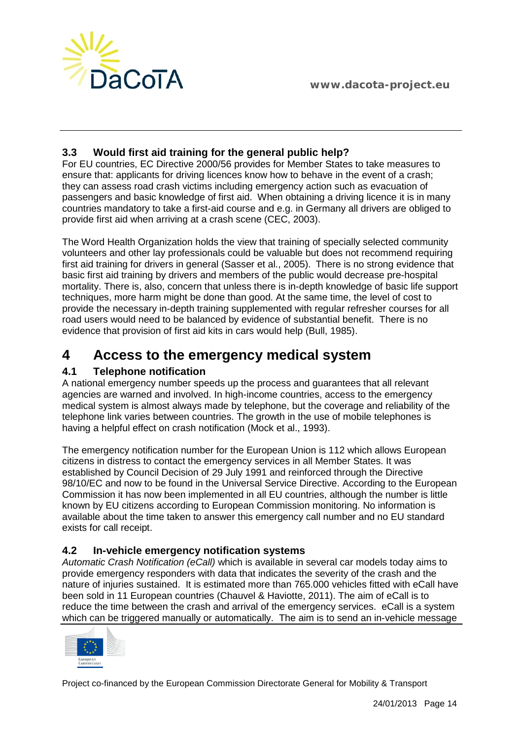

## <span id="page-13-0"></span>**3.3 Would first aid training for the general public help?**

For EU countries, EC Directive 2000/56 provides for Member States to take measures to ensure that: applicants for driving licences know how to behave in the event of a crash; they can assess road crash victims including emergency action such as evacuation of passengers and basic knowledge of first aid. When obtaining a driving licence it is in many countries mandatory to take a first-aid course and e.g. in Germany all drivers are obliged to provide first aid when arriving at a crash scene (CEC, 2003).

The Word Health Organization holds the view that training of specially selected community volunteers and other lay professionals could be valuable but does not recommend requiring first aid training for drivers in general (Sasser et al., 2005).There is no strong evidence that basic first aid training by drivers and members of the public would decrease pre-hospital mortality. There is, also, concern that unless there is in-depth knowledge of basic life support techniques, more harm might be done than good. At the same time, the level of cost to provide the necessary in-depth training supplemented with regular refresher courses for all road users would need to be balanced by evidence of substantial benefit. There is no evidence that provision of first aid kits in cars would help (Bull, 1985).

## <span id="page-13-1"></span>**4 Access to the emergency medical system**

## <span id="page-13-2"></span>**4.1 Telephone notification**

A national emergency number speeds up the process and guarantees that all relevant agencies are warned and involved. In high-income countries, access to the emergency medical system is almost always made by telephone, but the coverage and reliability of the telephone link varies between countries. The growth in the use of mobile telephones is having a helpful effect on crash notification (Mock et al., 1993).

The emergency notification number for the European Union is 112 which allows European citizens in distress to contact the emergency services in all Member States. It was established by Council Decision of 29 July 1991 and reinforced through the Directive 98/10/EC and now to be found in the Universal Service Directive. According to the European Commission it has now been implemented in all EU countries, although the number is little known by EU citizens according to European Commission monitoring. No information is available about the time taken to answer this emergency call number and no EU standard exists for call receipt.

### <span id="page-13-3"></span>**4.2 In-vehicle emergency notification systems**

*Automatic Crash Notification (eCall)* which is available in several car models today aims to provide emergency responders with data that indicates the severity of the crash and the nature of injuries sustained. It is estimated more than 765.000 vehicles fitted with eCall have been sold in 11 European countries (Chauvel & Haviotte, 2011). The aim of eCall is to reduce the time between the crash and arrival of the emergency services. eCall is a system which can be triggered manually or automatically. The aim is to send an in-vehicle message

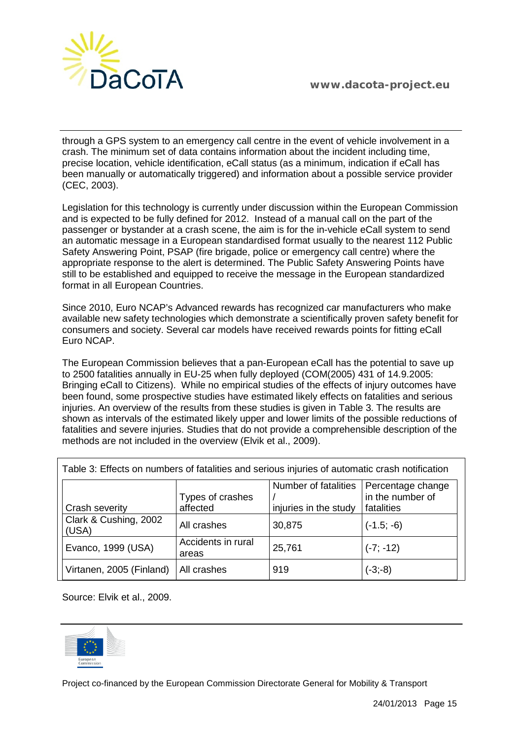

through a GPS system to an emergency call centre in the event of vehicle involvement in a crash. The minimum set of data contains information about the incident including time, precise location, vehicle identification, eCall status (as a minimum, indication if eCall has been manually or automatically triggered) and information about a possible service provider (CEC, 2003).

Legislation for this technology is currently under discussion within the European Commission and is expected to be fully defined for 2012. Instead of a manual call on the part of the passenger or bystander at a crash scene, the aim is for the in-vehicle eCall system to send an automatic message in a European standardised format usually to the nearest 112 Public Safety Answering Point, PSAP (fire brigade, police or emergency call centre) where the appropriate response to the alert is determined. The Public Safety Answering Points have still to be established and equipped to receive the message in the European standardized format in all European Countries.

Since 2010, Euro NCAP's Advanced rewards has recognized car manufacturers who make available new safety technologies which demonstrate a scientifically proven safety benefit for consumers and society. Several car models have received rewards points for fitting eCall Euro [NCAP.](http://www.euroncap.com/rewards/technologies/call.aspx)

The European Commission believes that a pan-European eCall has the potential to save up to 2500 fatalities annually in EU-25 when fully deployed (COM(2005) 431 of 14.9.2005: Bringing eCall to Citizens). While no empirical studies of the effects of injury outcomes have been found, some prospective studies have estimated likely effects on fatalities and serious injuries. An overview of the results from these studies is given in Table 3. The results are shown as intervals of the estimated likely upper and lower limits of the possible reductions of fatalities and severe injuries. Studies that do not provide a comprehensible description of the methods are not included in the overview (Elvik et al., 2009).

| Table 3: Effects on numbers of fatalities and serious injuries of automatic crash notification                                                         |                             |        |              |  |  |  |
|--------------------------------------------------------------------------------------------------------------------------------------------------------|-----------------------------|--------|--------------|--|--|--|
| Number of fatalities<br>Percentage change<br>in the number of<br>Types of crashes<br>affected<br>injuries in the study<br>fatalities<br>Crash severity |                             |        |              |  |  |  |
| Clark & Cushing, 2002<br>(USA)                                                                                                                         | All crashes                 | 30,875 | $(-1.5; -6)$ |  |  |  |
| Evanco, 1999 (USA)                                                                                                                                     | Accidents in rural<br>areas | 25,761 | $(-7; -12)$  |  |  |  |
| Virtanen, 2005 (Finland)                                                                                                                               | All crashes                 | 919    | $(-3,-8)$    |  |  |  |

Source: Elvik et al., 2009.

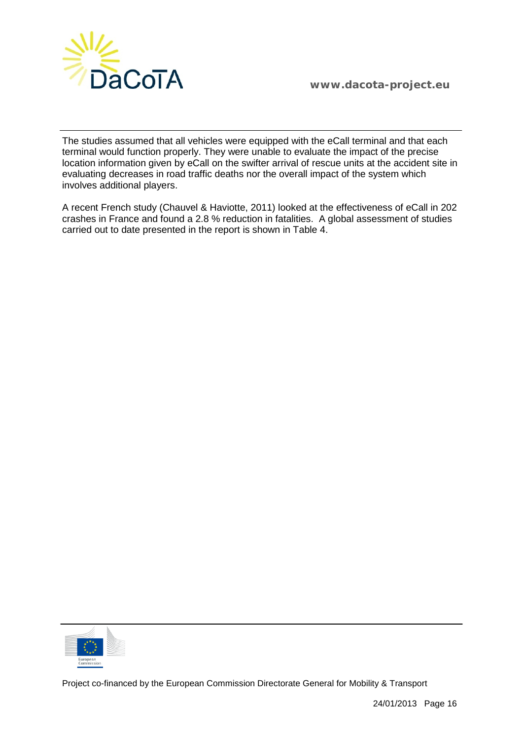

The studies assumed that all vehicles were equipped with the eCall terminal and that each terminal would function properly. They were unable to evaluate the impact of the precise location information given by eCall on the swifter arrival of rescue units at the accident site in evaluating decreases in road traffic deaths nor the overall impact of the system which involves additional players.

A recent French study (Chauvel & Haviotte, 2011) looked at the effectiveness of eCall in 202 crashes in France and found a 2.8 % reduction in fatalities. A global assessment of studies carried out to date presented in the report is shown in Table 4.

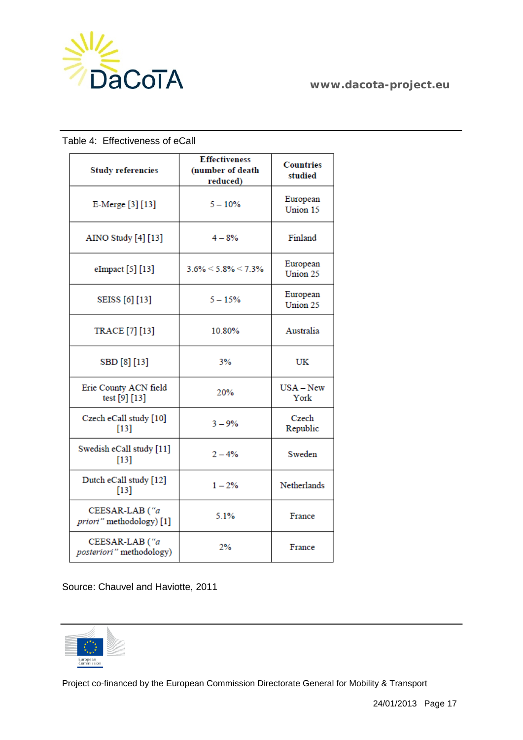

| <b>Study referencies</b>                   | <b>Effectiveness</b><br>(number of death<br>reduced) | <b>Countries</b><br>studied |
|--------------------------------------------|------------------------------------------------------|-----------------------------|
| E-Merge [3] [13]                           | $5 - 10%$                                            | European<br>Union 15        |
| AINO Study [4] [13]                        | $4 - 8%$                                             | Finland                     |
| eImpact [5] [13]                           | $3.6\% \leq 5.8\% \leq 7.3\%$                        | European<br>Union 25        |
| SEISS [6] [13]                             | $5 - 15%$                                            | European<br>Union 25        |
| TRACE [7] [13]                             | 10.80%                                               | Australia                   |
| SBD [8] [13]                               | 3%                                                   | UK                          |
| Erie County ACN field<br>test [9] [13]     | 20%                                                  | USA-New<br>York             |
| Czech eCall study [10]<br>$[13]$           | $3 - 9%$                                             | Czech<br>Republic           |
| Swedish eCall study [11]<br>$[13]$         | $2 - 4%$                                             | Sweden                      |
| Dutch eCall study [12]<br>$[13]$           | $1 - 2%$                                             | Netherlands                 |
| CEESAR-LAB ("a<br>priori" methodology) [1] | 5.1%                                                 | France                      |
| CEESAR-LAB ("a<br>posteriori" methodology) | 2%                                                   | France                      |

#### Table 4: Effectiveness of eCall

Source: Chauvel and Haviotte, 2011

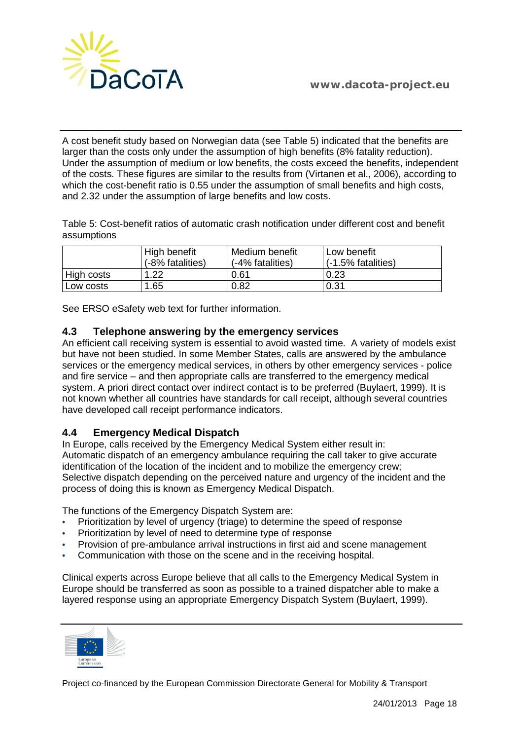

A cost benefit study based on Norwegian data (see Table 5) indicated that the benefits are larger than the costs only under the assumption of high benefits (8% fatality reduction). Under the assumption of medium or low benefits, the costs exceed the benefits, independent of the costs. These figures are similar to the results from (Virtanen et al., 2006), according to which the cost-benefit ratio is 0.55 under the assumption of small benefits and high costs, and 2.32 under the assumption of large benefits and low costs.

Table 5: Cost-benefit ratios of automatic crash notification under different cost and benefit assumptions

|            | High benefit<br>(-8% fatalities) | Medium benefit<br>(-4% fatalities) | Low benefit<br>$(-1.5\%$ fatalities) |
|------------|----------------------------------|------------------------------------|--------------------------------------|
| High costs | 1 22                             | 0.61                               | 0.23                                 |
| Low costs  | ∣.65                             | 0.82                               | 0.31                                 |

See ERSO [eSafety](http://www.dacota-project.eu/Links/erso/knowledge/Content/04_esave/esafety.htm) web text for further information.

#### <span id="page-17-0"></span>**4.3 Telephone answering by the emergency services**

An efficient call receiving system is essential to avoid wasted time. A variety of models exist but have not been studied. In some Member States, calls are answered by the ambulance services or the emergency medical services, in others by other emergency services - police and fire service – and then appropriate calls are transferred to the emergency medical system. A priori direct contact over indirect contact is to be preferred (Buylaert, 1999). It is not known whether all countries have standards for call receipt, although several countries have developed call receipt performance indicators.

### <span id="page-17-1"></span>**4.4 Emergency Medical Dispatch**

In Europe, calls received by the Emergency Medical System either result in: Automatic dispatch of an emergency ambulance requiring the call taker to give accurate identification of the location of the incident and to mobilize the emergency crew; Selective dispatch depending on the perceived nature and urgency of the incident and the process of doing this is known as Emergency Medical Dispatch.

The functions of the Emergency Dispatch System are:

- Prioritization by level of urgency (triage) to determine the speed of response
- Prioritization by level of need to determine type of response
- Provision of pre-ambulance arrival instructions in first aid and scene management
- Communication with those on the scene and in the receiving hospital.

Clinical experts across Europe believe that all calls to the Emergency Medical System in Europe should be transferred as soon as possible to a trained dispatcher able to make a layered response using an appropriate Emergency Dispatch System (Buylaert, 1999).

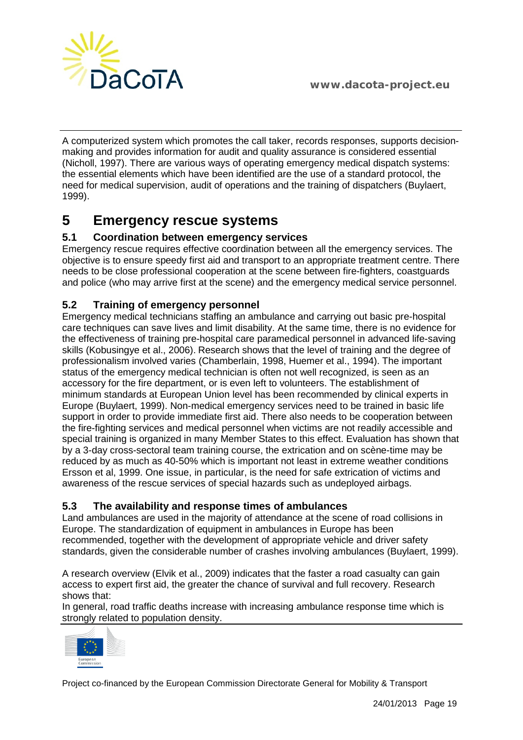

A computerized system which promotes the call taker, records responses, supports decisionmaking and provides information for audit and quality assurance is considered essential (Nicholl, 1997). There are various ways of operating emergency medical dispatch systems: the essential elements which have been identified are the use of a standard protocol, the need for medical supervision, audit of operations and the training of dispatchers (Buylaert, 1999).

# <span id="page-18-0"></span>**5 Emergency rescue systems**

## <span id="page-18-1"></span>**5.1 Coordination between emergency services**

Emergency rescue requires effective coordination between all the emergency services. The objective is to ensure speedy first aid and transport to an appropriate treatment centre. There needs to be close professional cooperation at the scene between fire-fighters, coastguards and police (who may arrive first at the scene) and the emergency medical service personnel.

## <span id="page-18-2"></span>**5.2 Training of emergency personnel**

Emergency medical technicians staffing an ambulance and carrying out basic pre-hospital care techniques can save lives and limit disability. At the same time, there is no evidence for the effectiveness of training pre-hospital care paramedical personnel in advanced life-saving skills (Kobusingye et al., 2006). Research shows that the level of training and the degree of professionalism involved varies (Chamberlain, 1998, Huemer et al., 1994). The important status of the emergency medical technician is often not well recognized, is seen as an accessory for the fire department, or is even left to volunteers. The establishment of minimum standards at European Union level has been recommended by clinical experts in Europe (Buylaert, 1999). Non-medical emergency services need to be trained in basic life support in order to provide immediate first aid. There also needs to be cooperation between the fire-fighting services and medical personnel when victims are not readily accessible and special training is organized in many Member States to this effect. Evaluation has shown that by a 3-day cross-sectoral team training course, the extrication and on scène-time may be reduced by as much as 40-50% which is important not least in extreme weather conditions Ersson et al, 1999. One issue, in particular, is the need for safe extrication of victims and awareness of the rescue services of special hazards such as undeployed airbags.

### <span id="page-18-3"></span>**5.3 The availability and response times of ambulances**

Land ambulances are used in the majority of attendance at the scene of road collisions in Europe. The standardization of equipment in ambulances in Europe has been recommended, together with the development of appropriate vehicle and driver safety standards, given the considerable number of crashes involving ambulances (Buylaert, 1999).

A research overview (Elvik et al., 2009) indicates that the faster a road casualty can gain access to expert first aid, the greater the chance of survival and full recovery. Research shows that:

In general, road traffic deaths increase with increasing ambulance response time which is strongly related to population density.

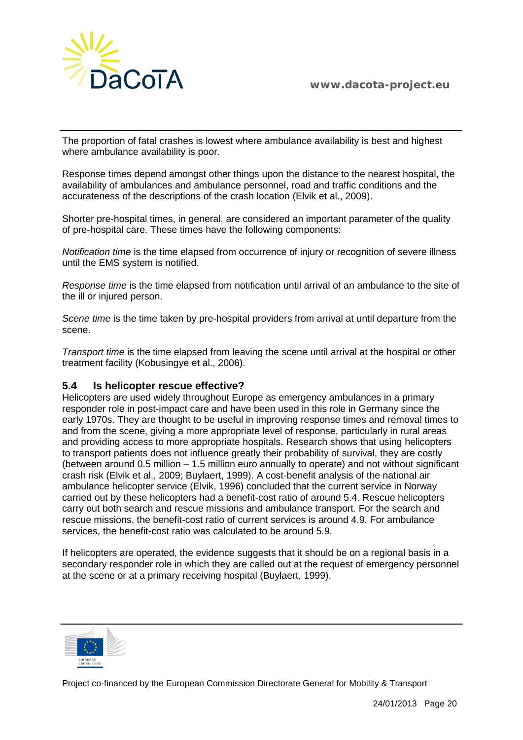

The proportion of fatal crashes is lowest where ambulance availability is best and highest where ambulance availability is poor.

Response times depend amongst other things upon the distance to the nearest hospital, the availability of ambulances and ambulance personnel, road and traffic conditions and the accurateness of the descriptions of the crash location (Elvik et al., 2009).

Shorter pre-hospital times, in general, are considered an important parameter of the quality of pre-hospital care. These times have the following components:

*Notification time* is the time elapsed from occurrence of injury or recognition of severe illness until the EMS system is notified.

*Response time* is the time elapsed from notification until arrival of an ambulance to the site of the ill or injured person.

*Scene time* is the time taken by pre-hospital providers from arrival at until departure from the scene.

*Transport time* is the time elapsed from leaving the scene until arrival at the hospital or other treatment facility (Kobusingye et al., 2006).

#### <span id="page-19-0"></span>**5.4 Is helicopter rescue effective?**

Helicopters are used widely throughout Europe as emergency ambulances in a primary responder role in post-impact care and have been used in this role in Germany since the early 1970s. They are thought to be useful in improving response times and removal times to and from the scene, giving a more appropriate level of response, particularly in rural areas and providing access to more appropriate hospitals. Research shows that using helicopters to transport patients does not influence greatly their probability of survival, they are costly (between around 0.5 million – 1.5 million euro annually to operate) and not without significant crash risk (Elvik et al., 2009; Buylaert, 1999). A cost-benefit analysis of the national air ambulance helicopter service (Elvik, 1996) concluded that the current service in Norway carried out by these helicopters had a benefit-cost ratio of around 5.4. Rescue helicopters carry out both search and rescue missions and ambulance transport. For the search and rescue missions, the benefit-cost ratio of current services is around 4.9. For ambulance services, the benefit-cost ratio was calculated to be around 5.9.

If helicopters are operated, the evidence suggests that it should be on a regional basis in a secondary responder role in which they are called out at the request of emergency personnel at the scene or at a primary receiving hospital (Buylaert, 1999).

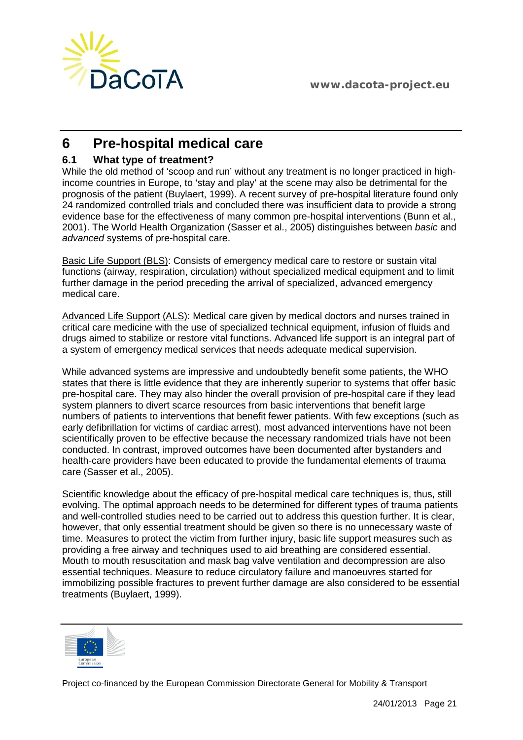

# <span id="page-20-0"></span>**6 Pre-hospital medical care**

## <span id="page-20-1"></span>**6.1 What type of treatment?**

While the old method of 'scoop and run' without any treatment is no longer practiced in highincome countries in Europe, to 'stay and play' at the scene may also be detrimental for the prognosis of the patient (Buylaert, 1999). A recent survey of pre-hospital literature found only 24 randomized controlled trials and concluded there was insufficient data to provide a strong evidence base for the effectiveness of many common pre-hospital interventions (Bunn et al., 2001). The World Health Organization (Sasser et al., 2005) distinguishes between *basic* and *advanced* systems of pre-hospital care.

Basic Life Support (BLS): Consists of emergency medical care to restore or sustain vital functions (airway, respiration, circulation) without specialized medical equipment and to limit further damage in the period preceding the arrival of specialized, advanced emergency medical care.

Advanced Life Support (ALS): Medical care given by medical doctors and nurses trained in critical care medicine with the use of specialized technical equipment, infusion of fluids and drugs aimed to stabilize or restore vital functions. Advanced life support is an integral part of a system of emergency medical services that needs adequate medical supervision.

While advanced systems are impressive and undoubtedly benefit some patients, the WHO states that there is little evidence that they are inherently superior to systems that offer basic pre-hospital care. They may also hinder the overall provision of pre-hospital care if they lead system planners to divert scarce resources from basic interventions that benefit large numbers of patients to interventions that benefit fewer patients. With few exceptions (such as early defibrillation for victims of cardiac arrest), most advanced interventions have not been scientifically proven to be effective because the necessary randomized trials have not been conducted. In contrast, improved outcomes have been documented after bystanders and health-care providers have been educated to provide the fundamental elements of trauma care (Sasser et al., 2005).

Scientific knowledge about the efficacy of pre-hospital medical care techniques is, thus, still evolving. The optimal approach needs to be determined for different types of trauma patients and well-controlled studies need to be carried out to address this question further. It is clear, however, that only essential treatment should be given so there is no unnecessary waste of time. Measures to protect the victim from further injury, basic life support measures such as providing a free airway and techniques used to aid breathing are considered essential. Mouth to mouth resuscitation and mask bag valve ventilation and decompression are also essential techniques. Measure to reduce circulatory failure and manoeuvres started for immobilizing possible fractures to prevent further damage are also considered to be essential treatments (Buylaert, 1999).

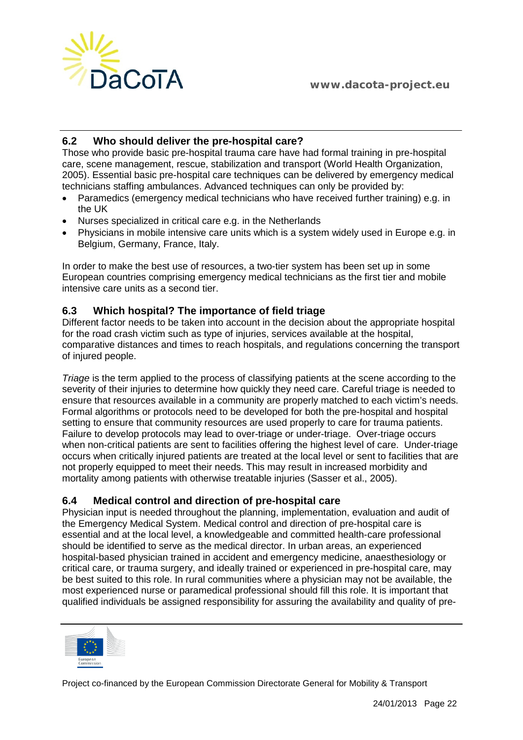

## <span id="page-21-0"></span>**6.2 Who should deliver the pre-hospital care?**

Those who provide basic pre-hospital trauma care have had formal training in pre-hospital care, scene management, rescue, stabilization and transport (World Health Organization, 2005). Essential basic pre-hospital care techniques can be delivered by emergency medical technicians staffing ambulances. Advanced techniques can only be provided by:

- Paramedics (emergency medical technicians who have received further training) e.g. in the UK
- Nurses specialized in critical care e.g. in the Netherlands
- Physicians in mobile intensive care units which is a system widely used in Europe e.g. in Belgium, Germany, France, Italy.

In order to make the best use of resources, a two-tier system has been set up in some European countries comprising emergency medical technicians as the first tier and mobile intensive care units as a second tier.

## <span id="page-21-1"></span>**6.3 Which hospital? The importance of field triage**

Different factor needs to be taken into account in the decision about the appropriate hospital for the road crash victim such as type of injuries, services available at the hospital, comparative distances and times to reach hospitals, and regulations concerning the transport of injured people.

*Triage* is the term applied to the process of classifying patients at the scene according to the severity of their injuries to determine how quickly they need care. Careful triage is needed to ensure that resources available in a community are properly matched to each victim's needs. Formal algorithms or protocols need to be developed for both the pre-hospital and hospital setting to ensure that community resources are used properly to care for trauma patients. Failure to develop protocols may lead to over-triage or under-triage. Over-triage occurs when non-critical patients are sent to facilities offering the highest level of care. Under-triage occurs when critically injured patients are treated at the local level or sent to facilities that are not properly equipped to meet their needs. This may result in increased morbidity and mortality among patients with otherwise treatable injuries (Sasser et al., 2005).

## <span id="page-21-2"></span>**6.4 Medical control and direction of pre-hospital care**

Physician input is needed throughout the planning, implementation, evaluation and audit of the Emergency Medical System. Medical control and direction of pre-hospital care is essential and at the local level, a knowledgeable and committed health-care professional should be identified to serve as the medical director. In urban areas, an experienced hospital-based physician trained in accident and emergency medicine, anaesthesiology or critical care, or trauma surgery, and ideally trained or experienced in pre-hospital care, may be best suited to this role. In rural communities where a physician may not be available, the most experienced nurse or paramedical professional should fill this role. It is important that qualified individuals be assigned responsibility for assuring the availability and quality of pre-

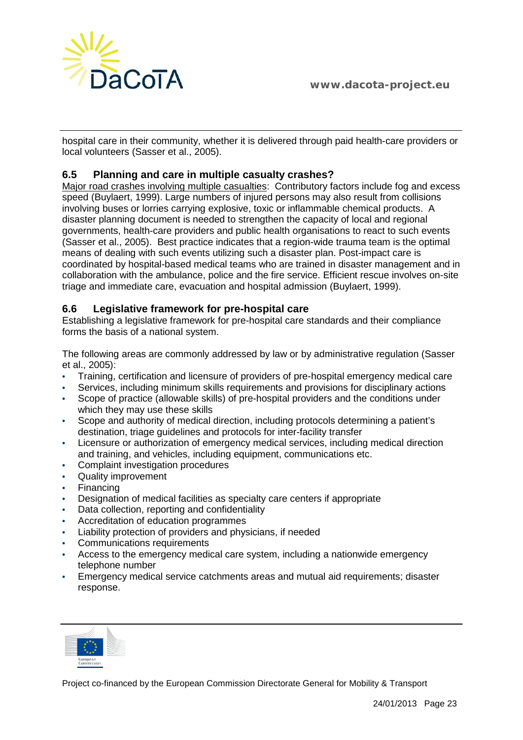

hospital care in their community, whether it is delivered through paid health-care providers or local volunteers (Sasser et al., 2005).

## <span id="page-22-0"></span>**6.5 Planning and care in multiple casualty crashes?**

Major road crashes involving multiple casualties: Contributory factors include fog and excess speed (Buylaert, 1999). Large numbers of injured persons may also result from collisions involving buses or lorries carrying explosive, toxic or inflammable chemical products. A disaster planning document is needed to strengthen the capacity of local and regional governments, health-care providers and public health organisations to react to such events (Sasser et al., 2005). Best practice indicates that a region-wide trauma team is the optimal means of dealing with such events utilizing such a disaster plan. Post-impact care is coordinated by hospital-based medical teams who are trained in disaster management and in collaboration with the ambulance, police and the fire service. Efficient rescue involves on-site triage and immediate care, evacuation and hospital admission (Buylaert, 1999).

### <span id="page-22-1"></span>**6.6 Legislative framework for pre-hospital care**

Establishing a legislative framework for pre-hospital care standards and their compliance forms the basis of a national system.

The following areas are commonly addressed by law or by administrative regulation (Sasser et al., 2005):

- Training, certification and licensure of providers of pre-hospital emergency medical care
- Services, including minimum skills requirements and provisions for disciplinary actions
- Scope of practice (allowable skills) of pre-hospital providers and the conditions under which they may use these skills
- Scope and authority of medical direction, including protocols determining a patient's destination, triage guidelines and protocols for inter-facility transfer
- Licensure or authorization of emergency medical services, including medical direction and training, and vehicles, including equipment, communications etc.
- Complaint investigation procedures
- Quality improvement
- **Financing**
- Designation of medical facilities as specialty care centers if appropriate
- Data collection, reporting and confidentiality
- Accreditation of education programmes
- Liability protection of providers and physicians, if needed
- Communications requirements
- Access to the emergency medical care system, including a nationwide emergency telephone number
- Emergency medical service catchments areas and mutual aid requirements; disaster response.

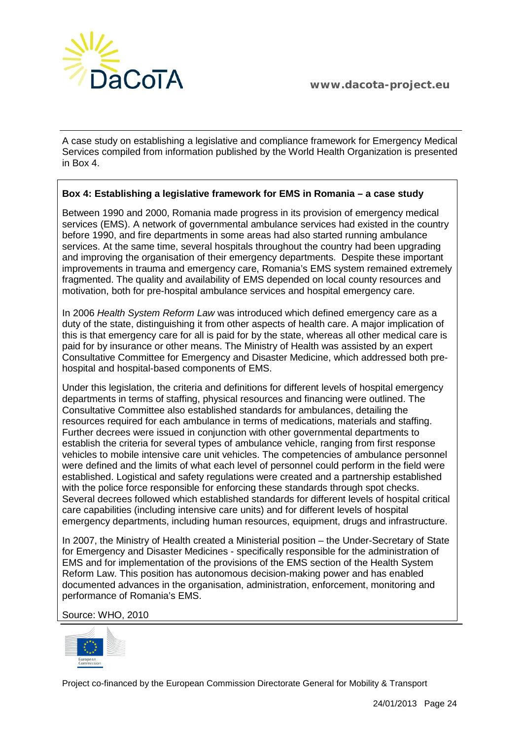

A case study on establishing a legislative and compliance framework for Emergency Medical Services compiled from information published by the World Health Organization is presented in Box 4.

### **Box 4: Establishing a legislative framework for EMS in Romania – a case study**

Between 1990 and 2000, Romania made progress in its provision of emergency medical services (EMS). A network of governmental ambulance services had existed in the country before 1990, and fire departments in some areas had also started running ambulance services. At the same time, several hospitals throughout the country had been upgrading and improving the organisation of their emergency departments. Despite these important improvements in trauma and emergency care, Romania's EMS system remained extremely fragmented. The quality and availability of EMS depended on local county resources and motivation, both for pre-hospital ambulance services and hospital emergency care.

In 2006 *Health System Reform Law* was introduced which defined emergency care as a duty of the state, distinguishing it from other aspects of health care. A major implication of this is that emergency care for all is paid for by the state, whereas all other medical care is paid for by insurance or other means. The Ministry of Health was assisted by an expert Consultative Committee for Emergency and Disaster Medicine, which addressed both prehospital and hospital-based components of EMS.

Under this legislation, the criteria and definitions for different levels of hospital emergency departments in terms of staffing, physical resources and financing were outlined. The Consultative Committee also established standards for ambulances, detailing the resources required for each ambulance in terms of medications, materials and staffing. Further decrees were issued in conjunction with other governmental departments to establish the criteria for several types of ambulance vehicle, ranging from first response vehicles to mobile intensive care unit vehicles. The competencies of ambulance personnel were defined and the limits of what each level of personnel could perform in the field were established. Logistical and safety regulations were created and a partnership established with the police force responsible for enforcing these standards through spot checks. Several decrees followed which established standards for different levels of hospital critical care capabilities (including intensive care units) and for different levels of hospital emergency departments, including human resources, equipment, drugs and infrastructure.

In 2007, the Ministry of Health created a Ministerial position – the Under-Secretary of State for Emergency and Disaster Medicines - specifically responsible for the administration of EMS and for implementation of the provisions of the EMS section of the Health System Reform Law. This position has autonomous decision-making power and has enabled documented advances in the organisation, administration, enforcement, monitoring and performance of Romania's EMS.

Source: WHO, 2010

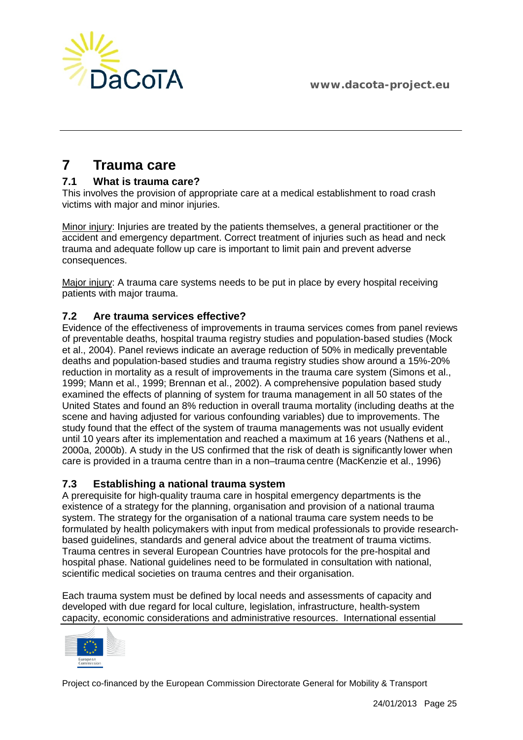

# <span id="page-24-0"></span>**7 Trauma care**

## <span id="page-24-1"></span>**7.1 What is trauma care?**

This involves the provision of appropriate care at a medical establishment to road crash victims with major and minor injuries.

Minor injury: Injuries are treated by the patients themselves, a general practitioner or the accident and emergency department. Correct treatment of injuries such as head and neck trauma and adequate follow up care is important to limit pain and prevent adverse consequences.

Major injury: A trauma care systems needs to be put in place by every hospital receiving patients with major trauma.

## <span id="page-24-2"></span>**7.2 Are trauma services effective?**

Evidence of the effectiveness of improvements in trauma services comes from panel reviews of preventable deaths, hospital trauma registry studies and population-based studies (Mock et al., 2004). Panel reviews indicate an average reduction of 50% in medically preventable deaths and population-based studies and trauma registry studies show around a 15%-20% reduction in mortality as a result of improvements in the trauma care system (Simons et al., 1999; Mann et al., 1999; Brennan et al., 2002). A comprehensive population based study examined the effects of planning of system for trauma management in all 50 states of the United States and found an 8% reduction in overall trauma mortality (including deaths at the scene and having adjusted for various confounding variables) due to improvements. The study found that the effect of the system of trauma managements was not usually evident until 10 years after its implementation and reached a maximum at 16 years (Nathens et al., 2000a, 2000b). A study in the US confirmed that the risk of death is significantly lower when care is provided in a trauma centre than in a non–trauma centre (MacKenzie et al., 1996)

### <span id="page-24-3"></span>**7.3 Establishing a national trauma system**

A prerequisite for high-quality trauma care in hospital emergency departments is the existence of a strategy for the planning, organisation and provision of a national trauma system. The strategy for the organisation of a national trauma care system needs to be formulated by health policymakers with input from medical professionals to provide researchbased guidelines, standards and general advice about the treatment of trauma victims. Trauma centres in several European Countries have protocols for the pre-hospital and hospital phase. National guidelines need to be formulated in consultation with national, scientific medical societies on trauma centres and their organisation.

Each trauma system must be defined by local needs and assessments of capacity and developed with due regard for local culture, legislation, infrastructure, health-system capacity, economic considerations and administrative resources. International essential

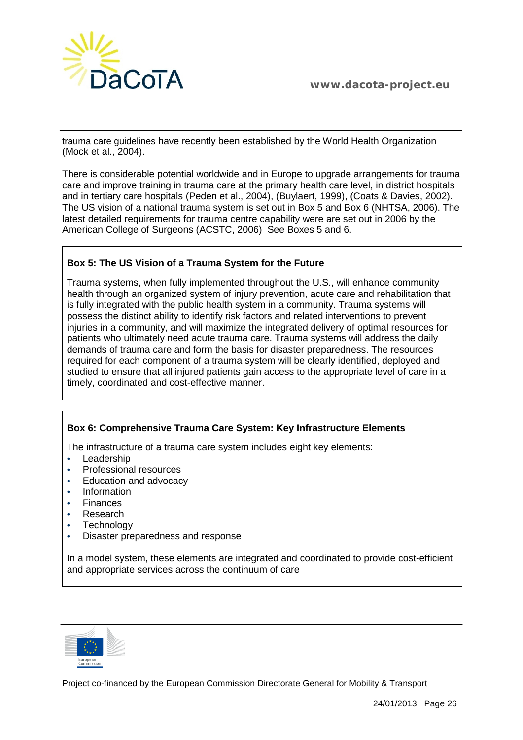

trauma care guidelines have recently been established by the World Health Organization (Mock et al., 2004).

There is considerable potential worldwide and in Europe to upgrade arrangements for trauma care and improve training in trauma care at the primary health care level, in district hospitals and in tertiary care hospitals (Peden et al., 2004), (Buylaert, 1999), (Coats & Davies, 2002). The US vision of a national trauma system is set out in Box 5 and Box 6 (NHTSA, 2006). The latest detailed requirements for trauma centre capability were are set out in 2006 by the American College of Surgeons (ACSTC, 2006) See Boxes 5 and 6.

### **Box 5: [The US Vision of a Trauma System for the Future](http://www.nhtsa.dot.gov/people/injury/ems/emstraumasystem03/vision.htm)**

Trauma systems, when fully implemented throughout the U.S., will enhance community health through an organized system of injury prevention, acute care and rehabilitation that is fully integrated with the public health system in a community. Trauma systems will possess the distinct ability to identify risk factors and related interventions to prevent injuries in a community, and will maximize the integrated delivery of optimal resources for patients who ultimately need acute trauma care. Trauma systems will address the daily demands of trauma care and form the basis for disaster preparedness. The resources required for each component of a trauma system will be clearly identified, deployed and studied to ensure that all injured patients gain access to the appropriate level of care in a timely, coordinated and cost-effective manner.

### **Box 6: [Comprehensive Trauma Care System: Key Infrastructure Elements](http://www.nhtsa.dot.gov/people/injury/ems/emstraumasystem03/comprehensiveIII.htm)**

The infrastructure of a trauma care system includes eight key elements:

- Leadership
- Professional resources
- Education and advocacy
- Information
- **Finances**
- Research
- **Technology**
- Disaster preparedness and response

In a model system, these elements are integrated and coordinated to provide cost-efficient and appropriate services across the continuum of care

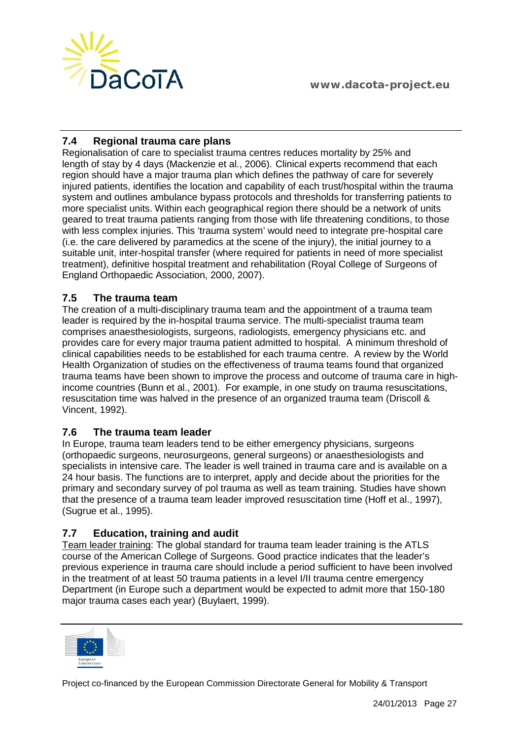

## <span id="page-26-0"></span>**7.4 Regional trauma care plans**

Regionalisation of care to specialist trauma centres reduces mortality by 25% and length of stay by 4 days (Mackenzie et al., 2006). Clinical experts recommend that each region should have a major trauma plan which defines the pathway of care for severely injured patients, identifies the location and capability of each trust/hospital within the trauma system and outlines ambulance bypass protocols and thresholds for transferring patients to more specialist units. Within each geographical region there should be a network of units geared to treat trauma patients ranging from those with life threatening conditions, to those with less complex injuries. This 'trauma system' would need to integrate pre-hospital care (i.e. the care delivered by paramedics at the scene of the injury), the initial journey to a suitable unit, inter-hospital transfer (where required for patients in need of more specialist treatment), definitive hospital treatment and rehabilitation (Royal College of Surgeons of England Orthopaedic Association, 2000, 2007).

### <span id="page-26-1"></span>**7.5 The trauma team**

The creation of a multi-disciplinary trauma team and the appointment of a trauma team leader is required by the in-hospital trauma service. The multi-specialist trauma team comprises anaesthesiologists, surgeons, radiologists, emergency physicians etc. and provides care for every major trauma patient admitted to hospital. A minimum threshold of clinical capabilities needs to be established for each trauma centre. A review by the World Health Organization of studies on the effectiveness of trauma teams found that organized trauma teams have been shown to improve the process and outcome of trauma care in highincome countries (Bunn et al., 2001). For example, in one study on trauma resuscitations, resuscitation time was halved in the presence of an organized trauma team (Driscoll & Vincent, 1992).

### <span id="page-26-2"></span>**7.6 The trauma team leader**

In Europe, trauma team leaders tend to be either emergency physicians, surgeons (orthopaedic surgeons, neurosurgeons, general surgeons) or anaesthesiologists and specialists in intensive care. The leader is well trained in trauma care and is available on a 24 hour basis. The functions are to interpret, apply and decide about the priorities for the primary and secondary survey of pol trauma as well as team training. Studies have shown that the presence of a trauma team leader improved resuscitation time (Hoff et al., 1997), (Sugrue et al., 1995).

## <span id="page-26-3"></span>**7.7 Education, training and audit**

Team leader training: The global standard for trauma team leader training is the ATLS course of the American College of Surgeons. Good practice indicates that the leader's previous experience in trauma care should include a period sufficient to have been involved in the treatment of at least 50 trauma patients in a level I/II trauma centre emergency Department (in Europe such a department would be expected to admit more that 150-180 major trauma cases each year) (Buylaert, 1999).

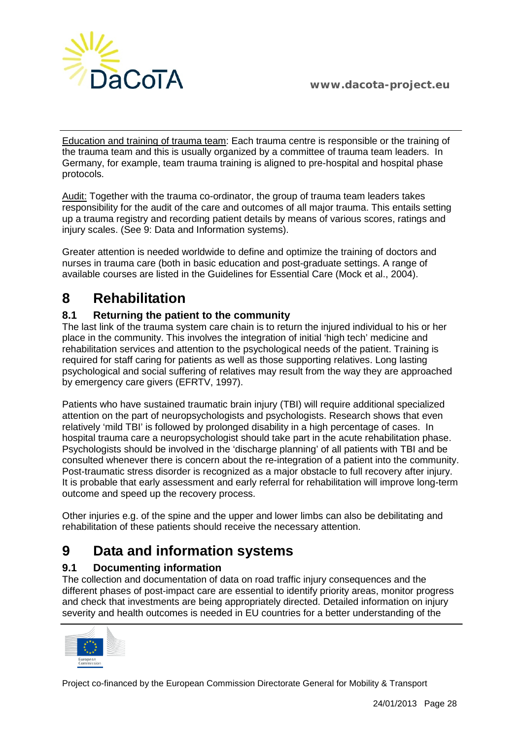

Education and training of trauma team: Each trauma centre is responsible or the training of the trauma team and this is usually organized by a committee of trauma team leaders. In Germany, for example, team trauma training is aligned to pre-hospital and hospital phase protocols.

Audit: Together with the trauma co-ordinator, the group of trauma team leaders takes responsibility for the audit of the care and outcomes of all major trauma. This entails setting up a trauma registry and recording patient details by means of various scores, ratings and injury scales. (See 9: Data and Information systems).

Greater attention is needed worldwide to define and optimize the training of doctors and nurses in trauma care (both in basic education and post-graduate settings. A range of available courses are listed in the Guidelines for Essential Care (Mock et al., 2004).

# <span id="page-27-0"></span>**8 Rehabilitation**

## <span id="page-27-1"></span>**8.1 Returning the patient to the community**

The last link of the trauma system care chain is to return the injured individual to his or her place in the community. This involves the integration of initial 'high tech' medicine and rehabilitation services and attention to the psychological needs of the patient. Training is required for staff caring for patients as well as those supporting relatives. Long lasting psychological and social suffering of relatives may result from the way they are approached by emergency care givers (EFRTV, 1997).

Patients who have sustained traumatic brain injury (TBI) will require additional specialized attention on the part of neuropsychologists and psychologists. Research shows that even relatively 'mild TBI' is followed by prolonged disability in a high percentage of cases. In hospital trauma care a neuropsychologist should take part in the acute rehabilitation phase. Psychologists should be involved in the 'discharge planning' of all patients with TBI and be consulted whenever there is concern about the re-integration of a patient into the community. Post-traumatic stress disorder is recognized as a major obstacle to full recovery after injury. It is probable that early assessment and early referral for rehabilitation will improve long-term outcome and speed up the recovery process.

Other injuries e.g. of the spine and the upper and lower limbs can also be debilitating and rehabilitation of these patients should receive the necessary attention.

# <span id="page-27-2"></span>**9 Data and information systems**

## <span id="page-27-3"></span>**9.1 Documenting information**

The collection and documentation of data on road traffic injury consequences and the different phases of post-impact care are essential to identify priority areas, monitor progress and check that investments are being appropriately directed. Detailed information on injury severity and health outcomes is needed in EU countries for a better understanding of the

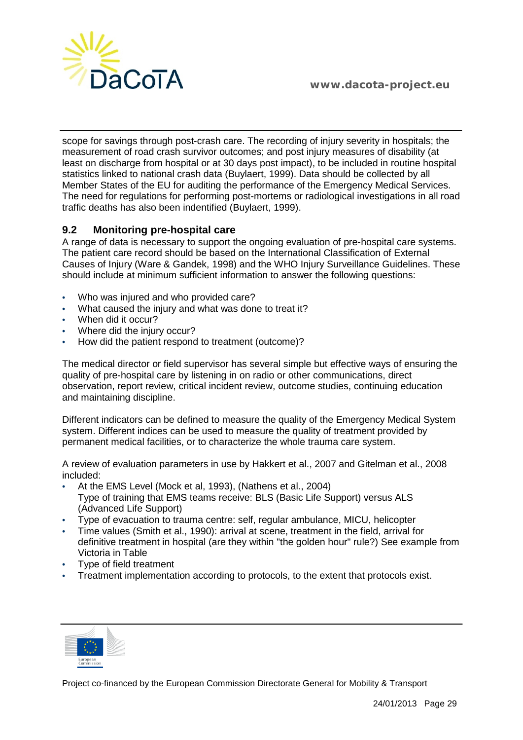

scope for savings through post-crash care. The recording of injury severity in hospitals; the measurement of road crash survivor outcomes; and post injury measures of disability (at least on discharge from hospital or at 30 days post impact), to be included in routine hospital statistics linked to national crash data (Buylaert, 1999). Data should be collected by all Member States of the EU for auditing the performance of the Emergency Medical Services. The need for regulations for performing post-mortems or radiological investigations in all road traffic deaths has also been indentified (Buylaert, 1999).

## <span id="page-28-0"></span>**9.2 Monitoring pre-hospital care**

A range of data is necessary to support the ongoing evaluation of pre-hospital care systems. The patient care record should be based on the International Classification of External Causes of Injury (Ware & Gandek, 1998) and the WHO Injury Surveillance Guidelines. These should include at minimum sufficient information to answer the following questions:

- Who was injured and who provided care?
- What caused the injury and what was done to treat it?
- When did it occur?
- Where did the injury occur?
- How did the patient respond to treatment (outcome)?

The medical director or field supervisor has several simple but effective ways of ensuring the quality of pre-hospital care by listening in on radio or other communications, direct observation, report review, critical incident review, outcome studies, continuing education and maintaining discipline.

Different indicators can be defined to measure the quality of the Emergency Medical System system. Different indices can be used to measure the quality of treatment provided by permanent medical facilities, or to characterize the whole trauma care system.

A review of evaluation parameters in use by Hakkert et al., 2007 and Gitelman et al., 2008 included:

- At the EMS Level (Mock et al, 1993), (Nathens et al., 2004) Type of training that EMS teams receive: BLS (Basic Life Support) versus ALS (Advanced Life Support)
- Type of evacuation to trauma centre: self, regular ambulance, MICU, helicopter
- Time values (Smith et al., 1990): arrival at scene, treatment in the field, arrival for definitive treatment in hospital (are they within "the golden hour" rule?) See example from Victoria in Table
- Type of field treatment
- Treatment implementation according to protocols, to the extent that protocols exist.

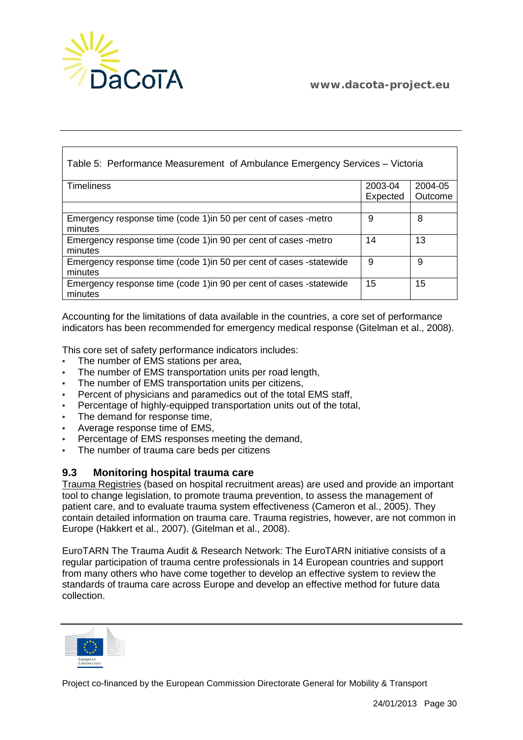

| Table 5: Performance Measurement of Ambulance Emergency Services – Victoria |          |         |  |  |  |
|-----------------------------------------------------------------------------|----------|---------|--|--|--|
| <b>Timeliness</b>                                                           | 2003-04  | 2004-05 |  |  |  |
|                                                                             | Expected | Outcome |  |  |  |
|                                                                             |          |         |  |  |  |
| Emergency response time (code 1) in 50 per cent of cases -metro             | 9        | 8       |  |  |  |
| minutes                                                                     |          |         |  |  |  |
| Emergency response time (code 1) in 90 per cent of cases -metro             | 14       | 13      |  |  |  |
| minutes                                                                     |          |         |  |  |  |
| Emergency response time (code 1) in 50 per cent of cases -statewide         | 9        | 9       |  |  |  |
| minutes                                                                     |          |         |  |  |  |
| Emergency response time (code 1) in 90 per cent of cases -statewide         | 15       | 15      |  |  |  |
| minutes                                                                     |          |         |  |  |  |

Accounting for the limitations of data available in the countries, a core set of performance indicators has been recommended for emergency medical response (Gitelman et al., 2008).

This core set of safety performance indicators includes:

- The number of EMS stations per area,
- The number of EMS transportation units per road length,
- The number of EMS transportation units per citizens,
- Percent of physicians and paramedics out of the total EMS staff,
- Percentage of highly-equipped transportation units out of the total,
- The demand for response time,
- Average response time of EMS,
- Percentage of EMS responses meeting the demand,
- The number of trauma care beds per citizens

### <span id="page-29-0"></span>**9.3 Monitoring hospital trauma care**

Trauma Registries (based on hospital recruitment areas) are used and provide an important tool to change legislation, to promote trauma prevention, to assess the management of patient care, and to evaluate trauma system effectiveness (Cameron et al., 2005). They contain detailed information on trauma care. Trauma registries, however, are not common in Europe (Hakkert et al., 2007). (Gitelman et al., 2008).

EuroTARN The Trauma Audit & Research Network: The [EuroTARN](http://eurotarn.man.ac.uk/contact.htm) initiative consists of a regular participation of trauma centre professionals in 14 European countries and support from many others who have come together to develop an effective system to review the standards of trauma care across Europe and develop an effective method for future data collection.

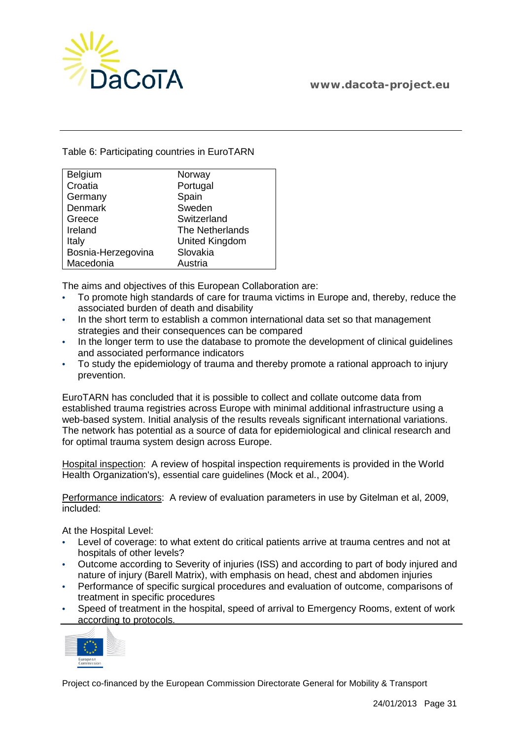

Table 6: Participating countries in EuroTARN

| Belgium            | Norway          |
|--------------------|-----------------|
| Croatia            | Portugal        |
| Germany            | Spain           |
| Denmark            | Sweden          |
| Greece             | Switzerland     |
| Ireland            | The Netherlands |
| Italy              | United Kingdom  |
| Bosnia-Herzegovina | Slovakia        |
| Macedonia          | Austria         |

The aims and objectives of this European Collaboration are:

- To promote high standards of care for trauma victims in Europe and, thereby, reduce the associated burden of death and disability
- In the short term to establish a common international data set so that management strategies and their consequences can be compared
- In the longer term to use the database to promote the development of clinical guidelines and associated performance indicators
- To study the epidemiology of trauma and thereby promote a rational approach to injury prevention.

EuroTARN has concluded that it is possible to collect and collate outcome data from established trauma registries across Europe with minimal additional infrastructure using a web-based system. Initial analysis of the results reveals significant international variations. The network has potential as a source of data for epidemiological and clinical research and for optimal trauma system design across Europe.

Hospital inspection: A review of hospital inspection requirements is provided in the World Health Organization's), essential care guidelines (Mock et al., 2004).

Performance indicators: A review of evaluation parameters in use by Gitelman et al, 2009, included:

At the Hospital Level:

- Level of coverage: to what extent do critical patients arrive at trauma centres and not at hospitals of other levels?
- Outcome according to Severity of injuries (ISS) and according to part of body injured and nature of injury (Barell Matrix), with emphasis on head, chest and abdomen injuries
- Performance of specific surgical procedures and evaluation of outcome, comparisons of treatment in specific procedures
- Speed of treatment in the hospital, speed of arrival to Emergency Rooms, extent of work according to protocols.

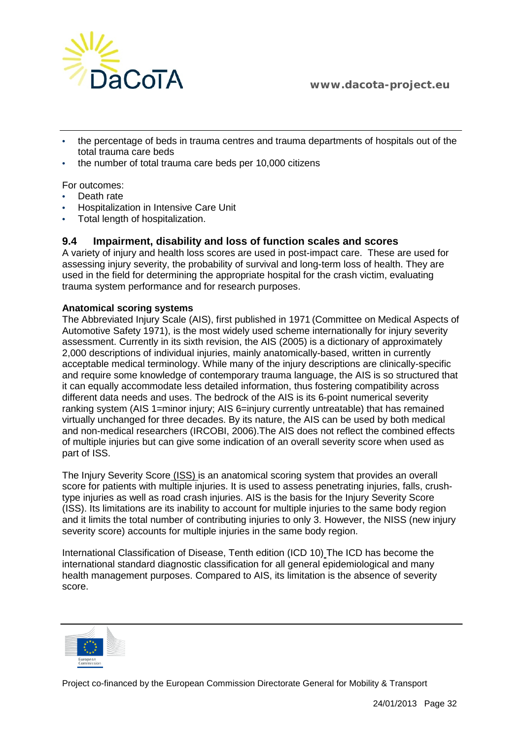

- the percentage of beds in trauma centres and trauma departments of hospitals out of the total trauma care beds
- the number of total trauma care beds per 10,000 citizens

#### For outcomes:

- Death rate
- Hospitalization in Intensive Care Unit
- Total length of hospitalization.

### <span id="page-31-0"></span>**9.4 Impairment, disability and loss of function scales and scores**

A variety of injury and health loss scores are used in post-impact care. These are used for assessing injury severity, the probability of survival and long-term loss of health. They are used in the field for determining the appropriate hospital for the crash victim, evaluating trauma system performance and for research purposes.

#### **Anatomical scoring systems**

[The Abbreviated Injury Scale \(AIS\),](http://www.trauma.org/scores/ais.html) first published in 1971 (Committee on Medical Aspects of Automotive Safety 1971), is the most widely used scheme internationally for injury severity assessment. Currently in its sixth revision, the AIS (2005) is a dictionary of approximately 2,000 descriptions of individual injuries, mainly anatomically-based, written in currently acceptable medical terminology. While many of the injury descriptions are clinically-specific and require some knowledge of contemporary trauma language, the AIS is so structured that it can equally accommodate less detailed information, thus fostering compatibility across different data needs and uses. The bedrock of the AIS is its 6-point numerical severity ranking system (AIS 1=minor injury; AIS 6=injury currently untreatable) that has remained virtually unchanged for three decades. By its nature, the AIS can be used by both medical and non-medical researchers (IRCOBI, 2006).The AIS does not reflect the combined effects of multiple injuries but can give some indication of an overall severity score when used as part of ISS.

[The Injury Severity Score](http://www.trauma.org/scores/iss.html) (ISS) is an anatomical scoring system that provides an overall score for patients with multiple injuries. It is used to assess penetrating injuries, falls, crushtype injuries as well as road crash injuries. AIS is the basis for the Injury Severity Score (ISS). Its limitations are its inability to account for multiple injuries to the same body region and it limits the total number of contributing injuries to only 3. However, the NISS (new injury severity score) accounts for multiple injuries in the same body region.

[International Classification of Disease, Tenth edition \(ICD 10\)](http://www.who.int/classifications/icd/en/) The ICD has become the international standard diagnostic classification for all general epidemiological and many health management purposes. Compared to AIS, its limitation is the absence of severity score.

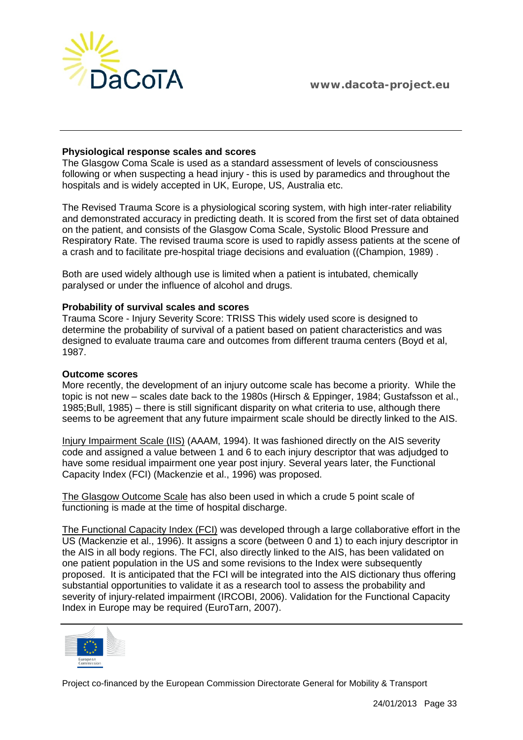

#### **Physiological response scales and scores**

[The Glasgow Coma Scale](http://www.trauma.org/scores/gcs.html) is used as a standard assessment of levels of consciousness following or when suspecting a head injury - this is used by paramedics and throughout the hospitals and is widely accepted in UK, Europe, US, Australia etc.

[The Revised Trauma Score](http://www.trauma.org/scores/rts.html) is a physiological scoring system, with high inter-rater reliability and demonstrated accuracy in predicting death. It is scored from the first set of data obtained on the patient, and consists of the [Glasgow Coma Scale,](http://www.trauma.org/scores/gcs.html) Systolic Blood Pressure and Respiratory Rate. The revised trauma score is used to rapidly assess patients at the scene of a crash and to facilitate pre-hospital triage decisions and evaluation ((Champion, 1989) .

Both are used widely although use is limited when a patient is intubated, chemically paralysed or under the influence of alcohol and drugs.

#### **Probability of survival scales and scores**

Trauma Score - [Injury Severity Score: TRISS](http://www.trauma.org/scores/triss.html) This widely used score is designed to determine the probability of survival of a patient based on patient characteristics and was designed to evaluate trauma care and outcomes from different trauma centers (Boyd et al, 1987.

#### **Outcome scores**

More recently, the development of an injury outcome scale has become a priority. While the topic is not new – scales date back to the 1980s (Hirsch & Eppinger, 1984; Gustafsson et al., 1985;Bull, 1985) – there is still significant disparity on what criteria to use, although there seems to be agreement that any future impairment scale should be directly linked to the AIS.

Injury Impairment Scale (IIS) (AAAM, 1994). It was fashioned directly on the AIS severity code and assigned a value between 1 and 6 to each injury descriptor that was adjudged to have some residual impairment one year post injury. Several years later, the Functional Capacity Index (FCI) (Mackenzie et al., 1996) was proposed.

The Glasgow Outcome Scale has also been used in which a crude 5 point scale of functioning is made at the time of hospital discharge.

The Functional Capacity Index (FCI) was developed through a large collaborative effort in the US (Mackenzie et al., 1996). It assigns a score (between 0 and 1) to each injury descriptor in the AIS in all body regions. The FCI, also directly linked to the AIS, has been validated on one patient population in the US and some revisions to the Index were subsequently proposed. It is anticipated that the FCI will be integrated into the AIS dictionary thus offering substantial opportunities to validate it as a research tool to assess the probability and severity of injury-related impairment (IRCOBI, 2006). Validation for the Functional Capacity Index in Europe may be required (EuroTarn, 2007).

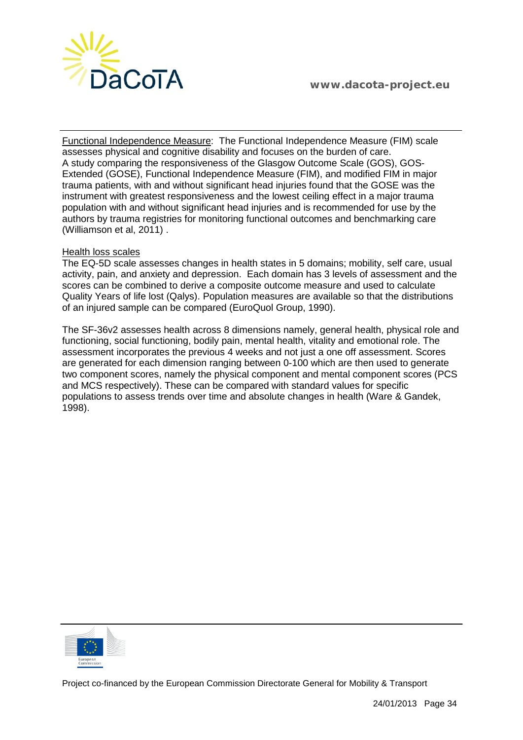

Functional Independence Measure:The Functional Independence Measure (FIM) scale assesses physical and cognitive disability and focuses on the burden of care. A study comparing the responsiveness of the Glasgow Outcome Scale (GOS), GOS-Extended (GOSE), Functional Independence Measure (FIM), and modified FIM in major trauma patients, with and without significant head injuries found that the GOSE was the instrument with greatest responsiveness and the lowest ceiling effect in a major trauma population with and without significant head injuries and is recommended for use by the authors by trauma registries for monitoring functional outcomes and benchmarking care (Williamson et al, 2011) .

#### **Health loss scales**

The EQ-5D scale assesses changes in health states in 5 domains; mobility, self care, usual activity, pain, and anxiety and depression. Each domain has 3 levels of assessment and the scores can be combined to derive a composite outcome measure and used to calculate Quality Years of life lost (Qalys). Population measures are available so that the distributions of an injured sample can be compared (EuroQuol Group, 1990).

The SF-36v2 assesses health across 8 dimensions namely, general health, physical role and functioning, social functioning, bodily pain, mental health, vitality and emotional role. The assessment incorporates the previous 4 weeks and not just a one off assessment. Scores are generated for each dimension ranging between 0-100 which are then used to generate two component scores, namely the physical component and mental component scores (PCS and MCS respectively). These can be compared with standard values for specific populations to assess trends over time and absolute changes in health (Ware & Gandek, 1998).

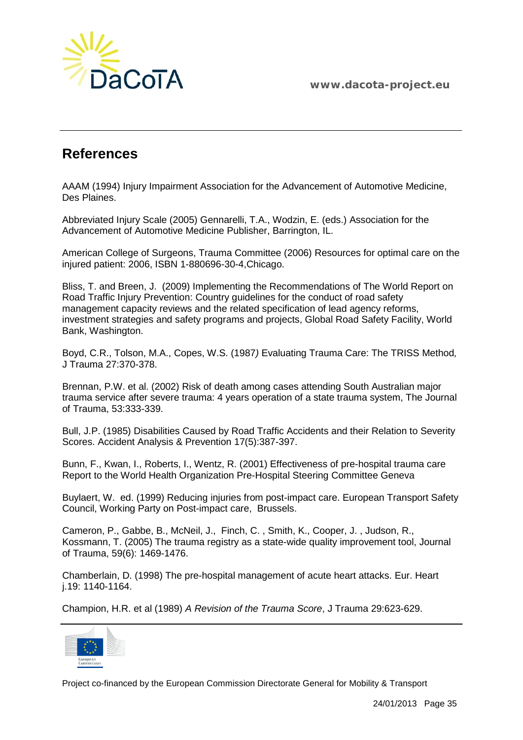

## <span id="page-34-0"></span>**References**

AAAM (1994) Injury Impairment Association for the Advancement of Automotive Medicine, Des Plaines.

Abbreviated Injury Scale (2005) Gennarelli, T.A., Wodzin, E. (eds.) Association for the Advancement of Automotive Medicine Publisher, Barrington, IL.

American College of Surgeons, Trauma Committee (2006) Resources for optimal care on the injured patient: 2006, ISBN 1-880696-30-4,Chicago.

Bliss, T. and Breen, J. (2009) Implementing the Recommendations of The World Report on Road Traffic Injury Prevention: Country guidelines for the conduct of road safety management capacity reviews and the related specification of lead agency reforms, investment strategies and safety programs and projects, Global Road Safety Facility, World Bank, Washington.

Boyd, C.R., Tolson, M.A., Copes, W.S. (1987*)* Evaluating Trauma Care: The TRISS Method*,* J Trauma 27:370-378.

Brennan, P.W. et al. (2002) Risk of death among cases attending South Australian major trauma service after severe trauma: 4 years operation of a state trauma system, The Journal of Trauma, 53:333-339.

Bull, J.P. (1985) Disabilities Caused by Road Traffic Accidents and their Relation to Severity Scores. Accident Analysis & Prevention 17(5):387-397.

Bunn, F., Kwan, I., Roberts, I., Wentz, R. (2001) Effectiveness of pre-hospital trauma care Report to the World Health Organization Pre-Hospital Steering Committee Geneva

Buylaert, W. ed. (1999) [Reducing injuries from post-impact care.](http://www.etsc.be/documents/care.pdf) European Transport Safety Council, Working Party on Post-impact care, Brussels.

Cameron, P., Gabbe, B., McNeil, J., Finch, C. , Smith, K., Cooper, J. , Judson, R., Kossmann, T. (2005) The trauma registry as a state-wide quality improvement tool, Journal of Trauma, 59(6): 1469-1476.

Chamberlain, D. (1998) The pre-hospital management of acute heart attacks. Eur. Heart j.19: 1140-1164.

Champion, H.R. et al (1989) *A Revision of the Trauma Score*, J Trauma 29:623-629.

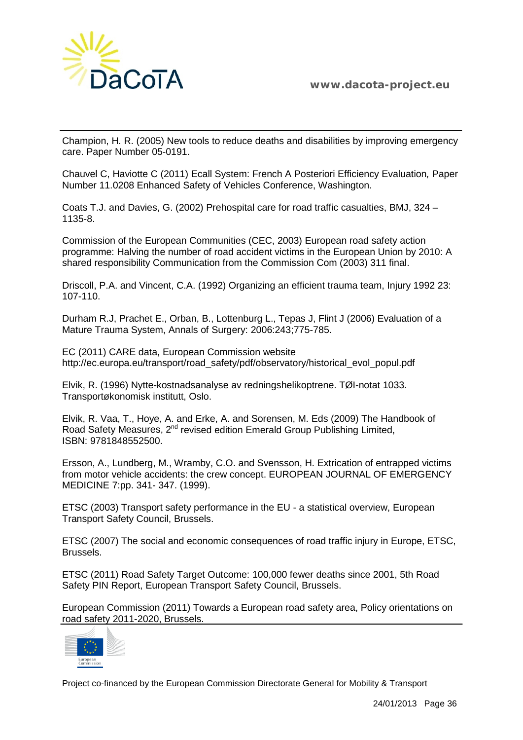



Champion, H. R. (2005) New tools to reduce deaths and disabilities by improving emergency care. Paper Number 05-0191.

Chauvel C, Haviotte C (2011) Ecall System: French A Posteriori Efficiency Evaluation*,* Paper Number 11.0208 Enhanced Safety of Vehicles Conference, Washington.

Coats T.J. and Davies, G. (2002) Prehospital care for road traffic casualties, BMJ, 324 – 1135-8.

Commission of the European Communities (CEC, 2003) European road safety action programme: Halving the number of road accident victims in the European Union by 2010: A shared responsibility Communication from the Commission Com (2003) 311 final.

Driscoll, P.A. and Vincent, C.A. (1992) Organizing an efficient trauma team, Injury 1992 23: 107-110.

Durham R.J, Prachet E., Orban, B., Lottenburg L., Tepas J, Flint J (2006) Evaluation of a Mature Trauma System, Annals of Surgery: 2006:243;775-785.

EC (2011) CARE data, European Commission website http://ec.europa.eu/transport/road\_safety/pdf/observatory/historical\_evol\_popul.pdf

Elvik, R. (1996) Nytte-kostnadsanalyse av redningshelikoptrene. TØI-notat 1033. Transportøkonomisk institutt, Oslo.

Elvik, R. Vaa, T., Hoye, A. and Erke, A. and Sorensen, M. Eds (2009) The Handbook of Road Safety Measures, 2<sup>nd</sup> revised edition Emerald Group Publishing Limited, ISBN: 9781848552500.

Ersson, A., Lundberg, M., Wramby, C.O. and Svensson, H. Extrication of entrapped victims from motor vehicle accidents: the crew concept. EUROPEAN JOURNAL OF EMERGENCY MEDICINE 7:pp. 341- 347. (1999).

ETSC (2003) Transport safety performance in the EU - a statistical overview, European Transport Safety Council, Brussels.

ETSC (2007) The social and economic consequences of road traffic injury in Europe, ETSC, Brussels.

ETSC (2011) Road Safety Target Outcome: 100,000 fewer deaths since 2001, 5th Road Safety PIN Report, European Transport Safety Council, Brussels.

European Commission (2011) Towards a European road safety area, Policy orientations on road safety 2011-2020, Brussels.

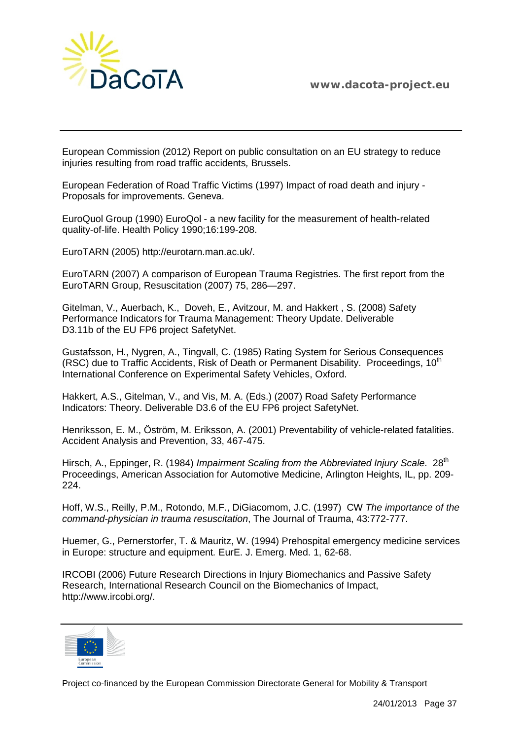

European Commission (2012) Report on public consultation on an EU strategy to reduce injuries resulting from road traffic accidents*,* Brussels.

European Federation of Road Traffic Victims (1997) Impact of road death and injury - Proposals for improvements. Geneva.

EuroQuol Group (1990) EuroQol - a new facility for the measurement of health-related quality-of-life. Health Policy 1990;16:199-208.

EuroTARN (2005) [http://eurotarn.man.ac.uk/.](http://eurotarn.man.ac.uk/)

EuroTARN (2007) A comparison of European Trauma Registries. The first report from the EuroTARN Group, Resuscitation (2007) 75, 286—297.

Gitelman, V., Auerbach, K., Doveh, E., Avitzour, M. and Hakkert , S. (2008) Safety Performance Indicators for Trauma Management: Theory Update. Deliverable D3.11b of the EU FP6 project SafetyNet.

Gustafsson, H., Nygren, A., Tingvall, C. (1985) Rating System for Serious Consequences (RSC) due to Traffic Accidents, Risk of Death or Permanent Disability. Proceedings,  $10<sup>th</sup>$ International Conference on Experimental Safety Vehicles, Oxford.

Hakkert, A.S., Gitelman, V., and Vis, M. A. (Eds.) (2007) Road Safety Performance Indicators: Theory. Deliverable D3.6 of the EU FP6 project SafetyNet.

Henriksson, E. M., Öström, M. Eriksson, A. (2001) Preventability of vehicle-related fatalities. Accident Analysis and Prevention, 33, 467-475.

Hirsch, A., Eppinger, R. (1984) *Impairment Scaling from the Abbreviated Injury Scale.* 28<sup>th</sup> Proceedings, American Association for Automotive Medicine, Arlington Heights, IL, pp. 209- 224.

Hoff, W.S., Reilly, P.M., Rotondo, M.F., DiGiacomom, J.C. (1997) CW *The importance of the command-physician in trauma resuscitation*, The Journal of Trauma, 43:772-777.

Huemer, G., Pernerstorfer, T. & Mauritz, W. (1994) Prehospital emergency medicine services in Europe: structure and equipment*.* EurE. J. Emerg. Med. 1, 62-68.

IRCOBI (2006) Future Research Directions in Injury Biomechanics and Passive Safety Research, International Research Council on the Biomechanics of Impact, [http://www.ircobi.org/.](http://www.ircobi.org/)

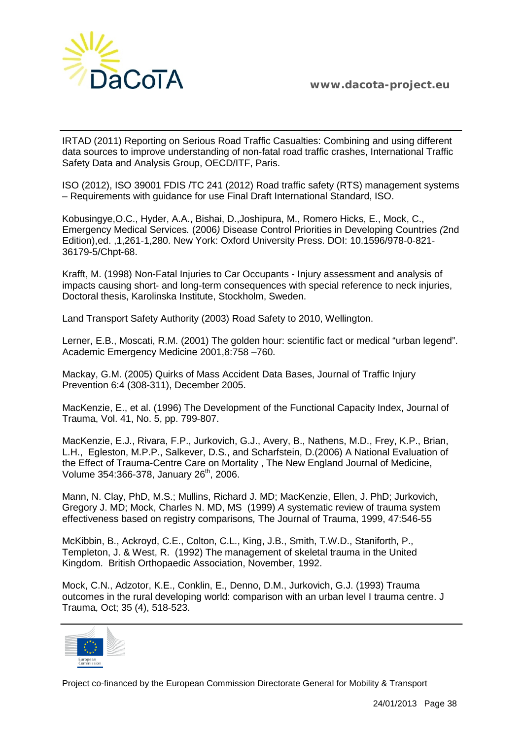

IRTAD (2011) Reporting on Serious Road Traffic Casualties: Combining and using different data sources to improve understanding of non-fatal road traffic crashes, International Traffic Safety Data and Analysis Group, OECD/ITF, Paris.

ISO (2012), ISO 39001 FDIS /TC 241 (2012) Road traffic safety (RTS) management systems – Requirements with guidance for use Final Draft International Standard, ISO.

Kobusingye,O.C., Hyder, A.A., Bishai, D.,Joshipura, M., Romero Hicks, E., Mock, C., Emergency Medical Services*.* (2006*)* Disease Control Priorities in Developing Countries *(*2nd Edition),ed. ,1,261-1,280. New York: Oxford University Press. DOI: 10.1596/978-0-821- 36179-5/Chpt-68.

Krafft, M. (1998) Non-Fatal Injuries to Car Occupants - Injury assessment and analysis of impacts causing short- and long-term consequences with special reference to neck injuries, Doctoral thesis, Karolinska Institute, Stockholm, Sweden.

Land Transport Safety Authority (2003) Road Safety to 2010, Wellington.

Lerner, E.B., Moscati, R.M. (2001) The golden hour: scientific fact or medical "urban legend". Academic Emergency Medicine 2001,8:758 –760.

Mackay, G.M. (2005) Quirks of Mass Accident Data Bases, Journal of Traffic Injury Prevention 6:4 (308-311), December 2005.

MacKenzie, E., et al. (1996) The Development of the Functional Capacity Index, Journal of Trauma, Vol. 41, No. 5, pp. 799-807.

MacKenzie, E.J., Rivara, F.P., Jurkovich, G.J., Avery, B., Nathens, M.D., Frey, K.P., Brian, L.H., Egleston, M.P.P., Salkever, D.S., and Scharfstein, D.(2006) A National Evaluation of the Effect of Trauma-Centre Care on Mortality , The New England Journal of Medicine, Volume 354:366-378, January 26<sup>th</sup>, 2006.

Mann, N. Clay, PhD, M.S.; Mullins, Richard J. MD; MacKenzie, Ellen, J. PhD; Jurkovich, Gregory J. MD; Mock, Charles N. MD, MS (1999) *A* systematic review of trauma system effectiveness based on registry comparisons*,* The Journal of Trauma, 1999, 47:546-55

McKibbin, B., Ackroyd, C.E., Colton, C.L., King, J.B., Smith, T.W.D., Staniforth, P., Templeton, J. & West, R. (1992) The management of skeletal trauma in the United Kingdom. British Orthopaedic Association, November, 1992.

Mock, C.N., Adzotor, K.E., Conklin, E., Denno, D.M., Jurkovich, G.J. (1993) Trauma outcomes in the rural developing world: comparison with an urban level I trauma centre. J Trauma, Oct; 35 (4), 518-523.

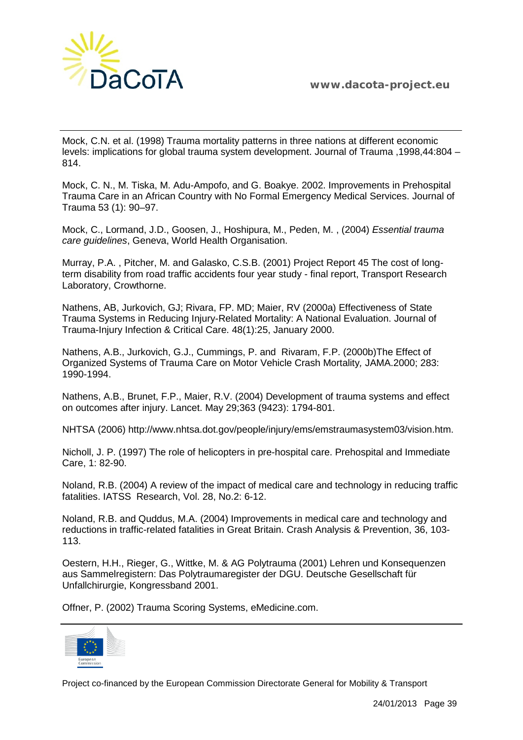

Mock, C.N. et al. (1998) Trauma mortality patterns in three nations at different economic levels: implications for global trauma system development. Journal of Trauma ,1998,44:804 – 814.

Mock, C. N., M. Tiska, M. Adu-Ampofo, and G. Boakye. 2002. Improvements in Prehospital Trauma Care in an African Country with No Formal Emergency Medical Services. Journal of Trauma 53 (1): 90–97.

Mock, C., Lormand, J.D., Goosen, J., Hoshipura, M., Peden, M. , (2004) *[Essential trauma](http://whqlibdoc.who.int/publications/2004/9241546409.pdf)  [care guidelines](http://whqlibdoc.who.int/publications/2004/9241546409.pdf)*, Geneva, World Health Organisation.

Murray, P.A. , Pitcher, M. and Galasko, C.S.B. (2001) Project Report 45 The cost of longterm disability from road traffic accidents four year study - final report, Transport Research Laboratory, Crowthorne.

Nathens, AB, Jurkovich, GJ; Rivara, FP. MD; Maier, RV (2000a) Effectiveness of State Trauma Systems in Reducing Injury-Related Mortality: A National Evaluation. Journal of Trauma-Injury Infection & Critical Care. 48(1):25, January 2000.

Nathens, A.B., Jurkovich, G.J., Cummings, P. and Rivaram, F.P. (2000b)The Effect of Organized Systems of Trauma Care on Motor Vehicle Crash Mortality*,* JAMA.2000; 283: 1990-1994.

Nathens, A.B., Brunet, F.P., Maier, R.V. (2004) Development of trauma systems and effect on outcomes after injury. Lancet. May 29;363 (9423): 1794-801.

NHTSA (2006) http://www.nhtsa.dot.gov/people/injury/ems/emstraumasystem03/vision.htm.

Nicholl, J. P. (1997) The role of helicopters in pre-hospital care. Prehospital and Immediate Care, 1: 82-90.

Noland, R.B. (2004) A review of the impact of medical care and technology in reducing traffic fatalities. IATSS Research, Vol. 28, No.2: 6-12.

Noland, R.B. and Quddus, M.A. (2004) Improvements in medical care and technology and reductions in traffic-related fatalities in Great Britain. Crash Analysis & Prevention, 36, 103- 113.

Oestern, H.H., Rieger, G., Wittke, M. & AG Polytrauma (2001) Lehren und Konsequenzen aus Sammelregistern: Das Polytraumaregister der DGU. Deutsche Gesellschaft für Unfallchirurgie, Kongressband 2001.

Offner, P. (2002) Trauma Scoring Systems, eMedicine.com.

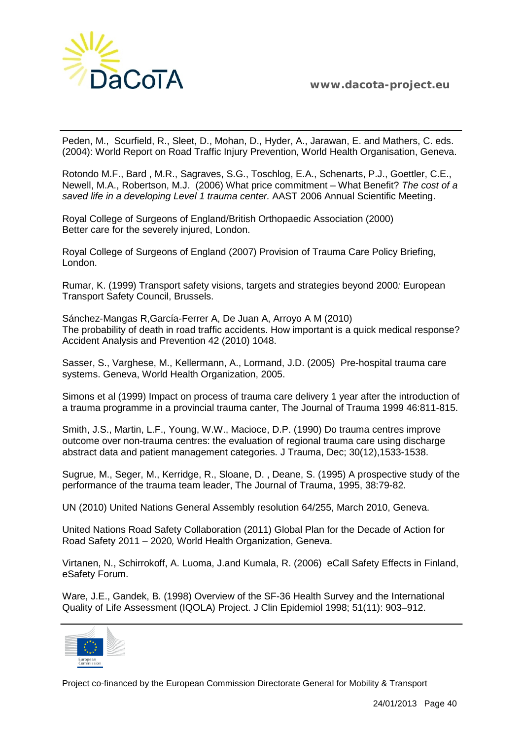

Peden, M., Scurfield, R., Sleet, D., Mohan, D., Hyder, A., Jarawan, E. and Mathers, C. eds. (2004): [World Report on Road Traffic Injury Prevention,](http://www.who.int/world-health-day/2004/infomaterials/world_report/en/) World Health Organisation, Geneva.

Rotondo M.F., Bard , M.R., Sagraves, S.G., Toschlog, E.A., Schenarts, P.J., Goettler, C.E., Newell, M.A., Robertson, M.J. (2006) What price commitment – What Benefit? *The cost of a saved life in a developing Level 1 trauma center.* AAST 2006 Annual Scientific Meeting.

Royal College of Surgeons of England/British Orthopaedic Association (2000) Better care for the severely injured, London.

Royal College of Surgeons of England (2007) Provision of Trauma Care Policy Briefing, London.

Rumar, K. (1999) Transport safety visions, targets and strategies beyond 2000*:* European Transport Safety Council, Brussels.

Sánchez-Mangas R,García-Ferrer A, De Juan A, Arroyo A M (2010) The probability of death in road traffic accidents. How important is a quick medical response? Accident Analysis and Prevention 42 (2010) 1048.

Sasser, S., Varghese, M., Kellermann, A., Lormand, J.D. (2005) Pre-hospital trauma care systems. Geneva, [World Health Organization, 2005.](http://whqlibdoc.who.int/publications/2005/924159294X.pdf)

Simons et al (1999) Impact on process of trauma care delivery 1 year after the introduction of a trauma programme in a provincial trauma canter, The Journal of Trauma 1999 46:811-815.

Smith, J.S., Martin, L.F., Young, W.W., Macioce, D.P. (1990) Do trauma centres improve outcome over non-trauma centres: the evaluation of regional trauma care using discharge abstract data and patient management categories. J Trauma, Dec; 30(12),1533-1538.

Sugrue, M., Seger, M., Kerridge, R., Sloane, D. , Deane, S. (1995) A prospective study of the performance of the trauma team leader, The Journal of Trauma, 1995, 38:79-82.

UN (2010) United Nations General Assembly resolution 64/255, March 2010, Geneva.

United Nations Road Safety Collaboration (2011) Global Plan for the Decade of Action for Road Safety 2011 – 2020*,* World Health Organization, Geneva.

Virtanen, N., Schirrokoff, A. Luoma, J.and Kumala, R. (2006) eCall Safety Effects in Finland, eSafety Forum.

Ware, J.E., Gandek, B. (1998) Overview of the SF-36 Health Survey and the International Quality of Life Assessment (IQOLA) Project. J Clin Epidemiol 1998; 51(11): 903–912.